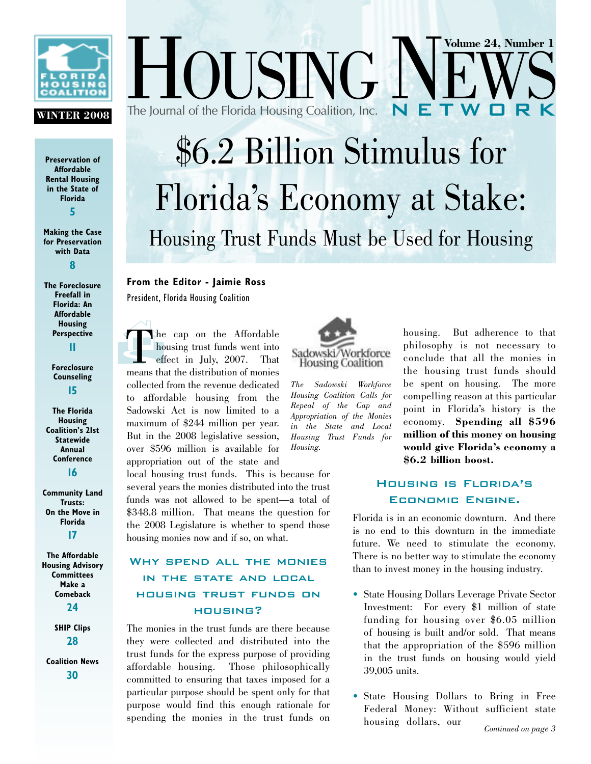

#### **WINTER 2008**

**Preservation of Affordable Rental Housing in the State of Florida 5**

**Making the Case for Preservation with Data 8**

**The Foreclosure Freefall in Florida: An Affordable Housing Perspective 11**

> **Foreclosure Counseling 15**

**The Florida Housing Coalition's 21st Statewide Annual Conference 16**

**Community Land Trusts: On the Move in Florida 17**

**The Affordable Housing Advisory Committees Make a Comeback 24**

> **SHIP Clips 28**

**Coalition News 30**

 $USING  $1$$ The Journal of the Florida Housing Coalition, Inc. \$6.2 Billion Stimulus for Florida's Economy at Stake: Housing Trust Funds Must be Used for Housing

#### **From the Editor - Jaimie Ross**  President, Florida Housing Coalition

 $\int_{-\infty}^{\infty}$ The cap on the Affordable<br>housing trust funds went into<br>effect in Iuly. 2007. That housing trust funds went into effect in July,  $2007$ . means that the distribution of monies collected from the revenue dedicated to affordable housing from the Sadowski Act is now limited to a maximum of \$244 million per year. But in the 2008 legislative session, over \$596 million is available for appropriation out of the state and

local housing trust funds. This is because for several years the monies distributed into the trust funds was not allowed to be spent—a total of \$348.8 million. That means the question for the 2008 Legislature is whether to spend those housing monies now and if so, on what.

#### Why spend all the monies IN THE STATE AND LOCAL housing trust funds on housing?

The monies in the trust funds are there because they were collected and distributed into the trust funds for the express purpose of providing affordable housing. Those philosophically committed to ensuring that taxes imposed for a particular purpose should be spent only for that purpose would find this enough rationale for spending the monies in the trust funds on



*The Sadowski Workforce Housing Coalition Calls for Repeal of the Cap and Appropriation of the Monies in the State and Local Housing Trust Funds for Housing.*

housing. But adherence to that philosophy is not necessary to conclude that all the monies in the housing trust funds should be spent on housing. The more compelling reason at this particular point in Florida's history is the economy. **Spending all \$596 million of this money on housing would give Florida's economy a \$6.2 billion boost.**

**Volume 24, Number 1**

#### Housing is Florida's Economic Engine.

Florida is in an economic downturn. And there is no end to this downturn in the immediate future. We need to stimulate the economy. There is no better way to stimulate the economy than to invest money in the housing industry.

- State Housing Dollars Leverage Private Sector Investment: For every \$1 million of state funding for housing over \$6.05 million of housing is built and/or sold. That means that the appropriation of the \$596 million in the trust funds on housing would yield 39,005 units.
- State Housing Dollars to Bring in Free Federal Money: Without sufficient state housing dollars, our *Continued on page 3*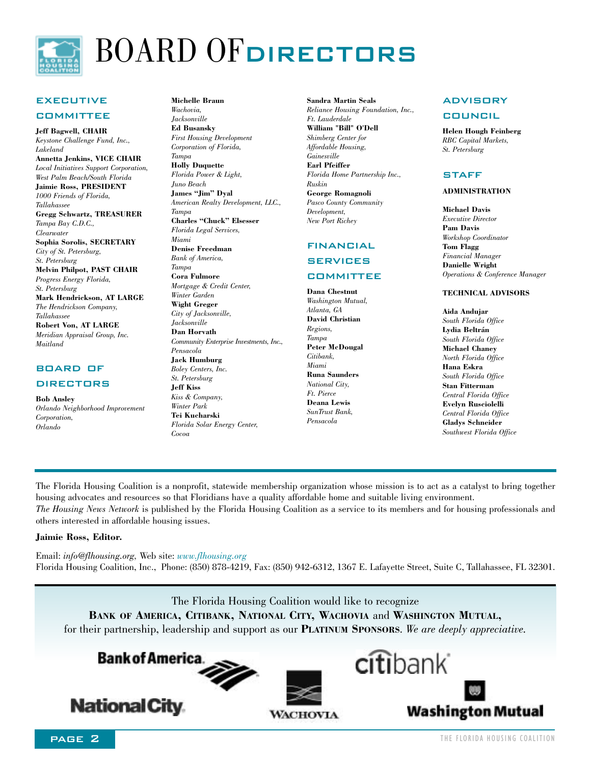

## BOARD OF DIRECTORS

#### **EXECUTIVE**

#### **COMMITTEE**

**Jeff Bagwell, CHAIR** *Keystone Challenge Fund, Inc., Lakeland* **Annetta Jenkins, VICE CHAIR** *Local Initiatives Support Corporation, West Palm Beach/South Florida*  **Jaimie Ross, PRESIDENT** *1000 Friends of Florida, Tallahassee* **Gregg Schwartz, TREASURER** *Tampa Bay C.D.C., Clearwater* **Sophia Sorolis, SECRETARY** *City of St. Petersburg, St. Petersburg* **Melvin Philpot, PAST CHAIR** *Progress Energy Florida, St. Petersburg* **Mark Hendrickson, AT LARGE** *The Hendrickson Company, Tallahassee* **Robert Von, AT LARGE** *Meridian Appraisal Group, Inc. Maitland*

#### board of

#### **DIRECTORS**

**Bob Ansley**

*Orlando Neighborhood Improvement Corporation, Orlando* 

**Michelle Braun** *Wachovia, Jacksonville* **Ed Busansky** *First Housing Development Corporation of Florida, Tampa*

**Holly Duquette** *Florida Power & Light, Juno Beach* **James "Jim" Dyal** *American Realty Development, LLC., Tampa* **Charles "Chuck" Elsesser** *Florida Legal Services, Miami*  **Denise Freedman** *Bank of America,*

*Tampa* **Cora Fulmore** *Mortgage & Credit Center, Winter Garden* **Wight Greger** *City of Jacksonville, Jacksonville* **Dan Horvath** *Community Enterprise Investments, Inc., Pensacola* **Jack Humburg** *Boley Centers, Inc. St. Petersburg* **Jeff Kiss** *Kiss & Company, Winter Park* **Tei Kucharski** *Florida Solar Energy Center, Cocoa*

**Sandra Martin Seals** *Reliance Housing Foundation, Inc., Ft. Lauderdale* **William "Bill" O'Dell** *Shimberg Center for Affordable Housing, Gainesville* **Earl Pfeiffer** *Florida Home Partnership Inc., Ruskin* **George Romagnoli** *Pasco County Community*

*Development, New Port Richey*

#### financial

#### **SERVICES**

#### **COMMITTEE**

**Dana Chestnut** *Washington Mutual, Atlanta, GA* **David Christian** *Regions, Tampa* **Peter McDougal** *Citibank, Miami* **Runa Saunders**  *National City, Ft. Pierce* **Deana Lewis** *SunTrust Bank, Pensacola*

#### **ADVISORY**

#### council

**Helen Hough Feinberg** *RBC Capital Markets, St. Petersburg* 

#### **STAFF**

#### **ADMINISTRATION**

**Michael Davis** *Executive Director* **Pam Davis** *Workshop Coordinator* **Tom Flagg** *Financial Manager* **Danielle Wright** *Operations & Conference Manager*

#### **TECHNICAL ADVISORS**

**Aida Andujar** *South Florida Office* **Lydia Beltrán** *South Florida Office* **Michael Chaney** *North Florida Office* **Hana Eskra** *South Florida Office* **Stan Fitterman** *Central Florida Office* **Evelyn Rusciolelli** *Central Florida Office* **Gladys Schneider** *Southwest Florida Office*

The Florida Housing Coalition is a nonprofit, statewide membership organization whose mission is to act as a catalyst to bring together housing advocates and resources so that Floridians have a quality affordable home and suitable living environment.

*The Housing News Network* is published by the Florida Housing Coalition as a service to its members and for housing professionals and others interested in affordable housing issues.

#### **Jaimie Ross, Editor.**

Email: *info@flhousing.org,* Web site: *www.flhousing.org* Florida Housing Coalition, Inc., Phone: (850) 878-4219, Fax: (850) 942-6312, 1367 E. Lafayette Street, Suite C, Tallahassee, FL 32301.

The Florida Housing Coalition would like to recognize **BANK OF AMERICA, CITIBANK, NATIONAL CITY, WACHOVIA** and **WASHINGTON MUTUAL,**  for their partnership, leadership and support as our **PLATINUM SPONSORS**. *We are deeply appreciative.*

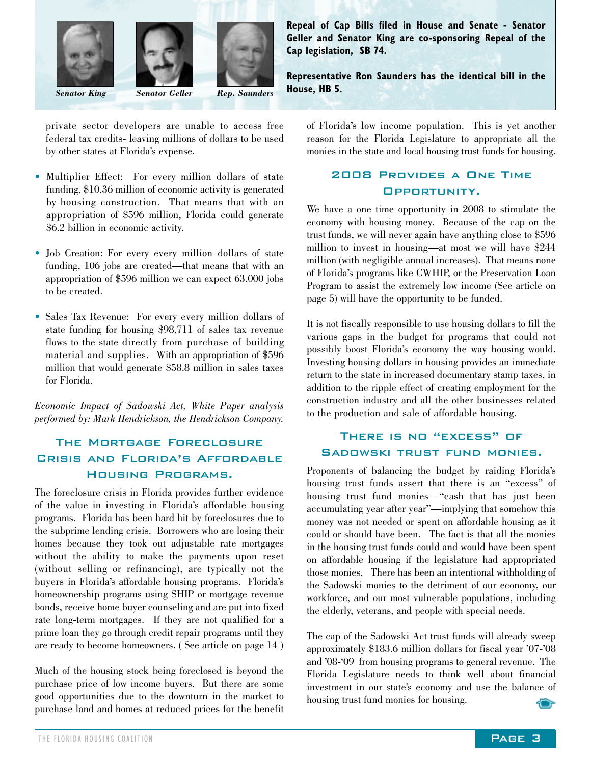



**Repeal of Cap Bills filed in House and Senate - Senator Geller and Senator King are co-sponsoring Repeal of the Cap legislation, SB 74.**

**Representative Ron Saunders has the identical bill in the House, HB 5.**

private sector developers are unable to access free federal tax credits- leaving millions of dollars to be used by other states at Florida's expense.

- Multiplier Effect: For every million dollars of state funding, \$10.36 million of economic activity is generated by housing construction. That means that with an appropriation of \$596 million, Florida could generate \$6.2 billion in economic activity.
- Job Creation: For every every million dollars of state funding, 106 jobs are created—that means that with an appropriation of \$596 million we can expect 63,000 jobs to be created.
- Sales Tax Revenue: For every every million dollars of state funding for housing \$98,711 of sales tax revenue flows to the state directly from purchase of building material and supplies. With an appropriation of \$596 million that would generate \$58.8 million in sales taxes for Florida.

*Economic Impact of Sadowski Act, White Paper analysis performed by: Mark Hendrickson, the Hendrickson Company.*

#### The Mortgage Foreclosure Crisis and Florida's Affordable Housing Programs.

The foreclosure crisis in Florida provides further evidence of the value in investing in Florida's affordable housing programs. Florida has been hard hit by foreclosures due to the subprime lending crisis. Borrowers who are losing their homes because they took out adjustable rate mortgages without the ability to make the payments upon reset (without selling or refinancing), are typically not the buyers in Florida's affordable housing programs. Florida's homeownership programs using SHIP or mortgage revenue bonds, receive home buyer counseling and are put into fixed rate long-term mortgages. If they are not qualified for a prime loan they go through credit repair programs until they are ready to become homeowners. ( See article on page 14 )

Much of the housing stock being foreclosed is beyond the purchase price of low income buyers. But there are some good opportunities due to the downturn in the market to purchase land and homes at reduced prices for the benefit

of Florida's low income population. This is yet another reason for the Florida Legislature to appropriate all the monies in the state and local housing trust funds for housing.

#### 2008 Provides a One Time Opportunity.

We have a one time opportunity in 2008 to stimulate the economy with housing money. Because of the cap on the trust funds, we will never again have anything close to \$596 million to invest in housing—at most we will have \$244 million (with negligible annual increases). That means none of Florida's programs like CWHIP, or the Preservation Loan Program to assist the extremely low income (See article on page 5) will have the opportunity to be funded.

It is not fiscally responsible to use housing dollars to fill the various gaps in the budget for programs that could not possibly boost Florida's economy the way housing would. Investing housing dollars in housing provides an immediate return to the state in increased documentary stamp taxes, in addition to the ripple effect of creating employment for the construction industry and all the other businesses related to the production and sale of affordable housing.

#### There is no "excess" of Sadowski trust fund monies.

Proponents of balancing the budget by raiding Florida's housing trust funds assert that there is an "excess" of housing trust fund monies—"cash that has just been accumulating year after year"—implying that somehow this money was not needed or spent on affordable housing as it could or should have been. The fact is that all the monies in the housing trust funds could and would have been spent on affordable housing if the legislature had appropriated those monies. There has been an intentional withholding of the Sadowski monies to the detriment of our economy, our workforce, and our most vulnerable populations, including the elderly, veterans, and people with special needs.

The cap of the Sadowski Act trust funds will already sweep approximately \$183.6 million dollars for fiscal year '07-'08 and '08-'09 from housing programs to general revenue. The Florida Legislature needs to think well about financial investment in our state's economy and use the balance of housing trust fund monies for housing.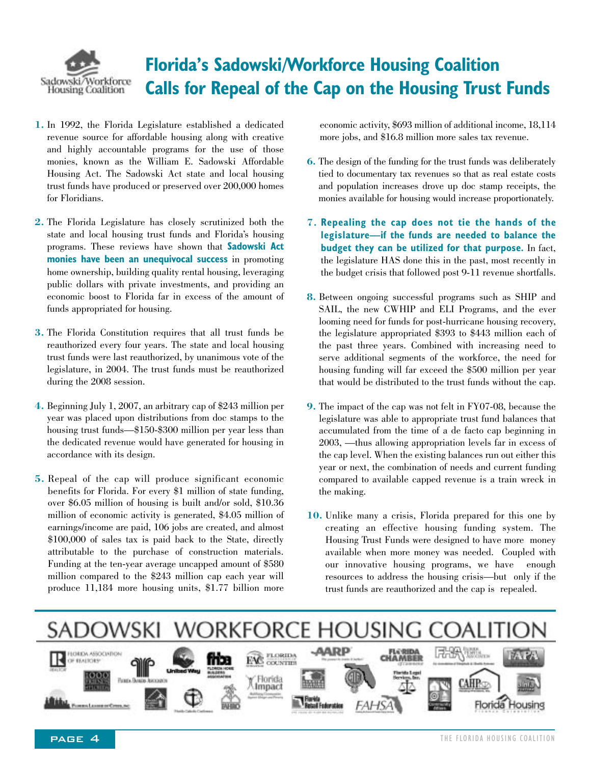

### **Florida's Sadowski/Workforce Housing Coalition Calls for Repeal of the Cap on the Housing Trust Funds**

- **1.** In 1992, the Florida Legislature established a dedicated revenue source for affordable housing along with creative and highly accountable programs for the use of those monies, known as the William E. Sadowski Affordable Housing Act. The Sadowski Act state and local housing trust funds have produced or preserved over 200,000 homes for Floridians.
- **2.** The Florida Legislature has closely scrutinized both the state and local housing trust funds and Florida's housing programs. These reviews have shown that **Sadowski Act monies have been an unequivocal success** in promoting home ownership, building quality rental housing, leveraging public dollars with private investments, and providing an economic boost to Florida far in excess of the amount of funds appropriated for housing.
- **3.** The Florida Constitution requires that all trust funds be reauthorized every four years. The state and local housing trust funds were last reauthorized, by unanimous vote of the legislature, in 2004. The trust funds must be reauthorized during the 2008 session.
- **4.** Beginning July 1, 2007, an arbitrary cap of \$243 million per year was placed upon distributions from doc stamps to the housing trust funds—\$150-\$300 million per year less than the dedicated revenue would have generated for housing in accordance with its design.
- **5.** Repeal of the cap will produce significant economic benefits for Florida. For every \$1 million of state funding, over \$6.05 million of housing is built and/or sold, \$10.36 million of economic activity is generated, \$4.05 million of earnings/income are paid, 106 jobs are created, and almost \$100,000 of sales tax is paid back to the State, directly attributable to the purchase of construction materials. Funding at the ten-year average uncapped amount of \$580 million compared to the \$243 million cap each year will produce 11,184 more housing units, \$1.77 billion more

economic activity, \$693 million of additional income, 18,114 more jobs, and \$16.8 million more sales tax revenue.

- **6.** The design of the funding for the trust funds was deliberately tied to documentary tax revenues so that as real estate costs and population increases drove up doc stamp receipts, the monies available for housing would increase proportionately.
- **7. Repealing the cap does not tie the hands of the legislature—if the funds are needed to balance the budget they can be utilized for that purpose.** In fact, the legislature HAS done this in the past, most recently in the budget crisis that followed post 9-11 revenue shortfalls.
- **8.** Between ongoing successful programs such as SHIP and SAIL, the new CWHIP and ELI Programs, and the ever looming need for funds for post-hurricane housing recovery, the legislature appropriated \$393 to \$443 million each of the past three years. Combined with increasing need to serve additional segments of the workforce, the need for housing funding will far exceed the \$500 million per year that would be distributed to the trust funds without the cap.
- **9.** The impact of the cap was not felt in FY07-08, because the legislature was able to appropriate trust fund balances that accumulated from the time of a de facto cap beginning in 2003, —thus allowing appropriation levels far in excess of the cap level. When the existing balances run out either this year or next, the combination of needs and current funding compared to available capped revenue is a train wreck in the making.
- **10.** Unlike many a crisis, Florida prepared for this one by creating an effective housing funding system. The Housing Trust Funds were designed to have more money available when more money was needed. Coupled with our innovative housing programs, we have enough resources to address the housing crisis—but only if the trust funds are reauthorized and the cap is repealed.

#### WORKFORCE HOUSING SADOWSKI **AARP FLORIDA**<br>CHAMBEI LOREN ASSOCIATION 次マ **FAC** FLORIDA OF EFAIROES Florida X Horida<br>X Impact

PonnelmenerCress, no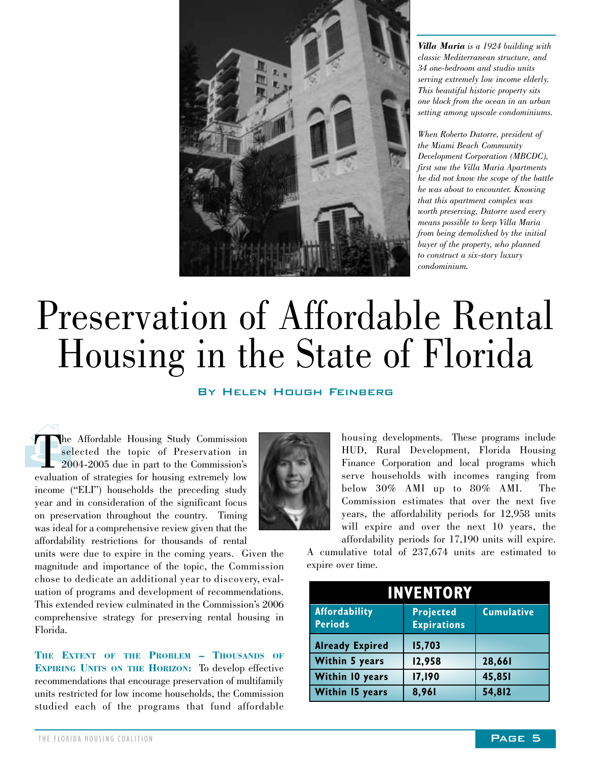

*Villa Maria is a 1924 building with classic Mediterranean structure, and 34 one-bedroom and studio units serving extremely low income elderly. This beautiful historic property sits one block from the ocean in an urban setting among upscale condominiums.* 

*When Roberto Datorre, president of the Miami Beach Community Development Corporation (MBCDC), first saw the Villa Maria Apartments he did not know the scope of the battle he was about to encounter. Knowing that this apartment complex was worth preserving, Datorre used every means possible to keep Villa Maria from being demolished by the initial buyer of the property, who planned to construct a six-story luxury condominium.* 

## Preservation of Affordable Rental Housing in the State of Florida

#### By Helen Hough Feinberg

 $\begin{array}{c} \begin{matrix} 1 \end{matrix} \\ \begin{matrix} 1 \end{matrix} \\ \begin{matrix} 1 \end{matrix} \\ \begin{matrix} 20 \end{matrix} \end{array}$ The Affordable Housing Study Commission<br>selected the topic of Preservation in<br>2004-2005 due in part to the Commission's<br>evaluation of strategies for housing extremely low selected the topic of Preservation in 2004-2005 due in part to the Commission's evaluation of strategies for housing extremely low income ("ELI") households the preceding study year and in consideration of the significant focus on preservation throughout the country. Timing was ideal for a comprehensive review given that the affordability restrictions for thousands of rental

units were due to expire in the coming years. Given the magnitude and importance of the topic, the Commission chose to dedicate an additional year to discovery, evaluation of programs and development of recommendations. This extended review culminated in the Commission's 2006 comprehensive strategy for preserving rental housing in Florida.

**THE EXTENT OF THE PROBLEM – THOUSANDS OF EXPIRING UNITS ON THE HORIZON:** To develop effective recommendations that encourage preservation of multifamily units restricted for low income households, the Commission studied each of the programs that fund affordable housing developments. These programs include HUD, Rural Development, Florida Housing Finance Corporation and local programs which serve households with incomes ranging from below 30% AMI up to 80% AMI. The Commission estimates that over the next five years, the affordability periods for 12,958 units will expire and over the next 10 years, the affordability periods for 17,190 units will expire.

A cumulative total of 237,674 units are estimated to expire over time.

| <b>INVENTORY</b>                |                                        |                   |  |
|---------------------------------|----------------------------------------|-------------------|--|
| Affordability<br><b>Periods</b> | <b>Projected</b><br><b>Expirations</b> | <b>Cumulative</b> |  |
| <b>Already Expired</b>          | 15,703                                 |                   |  |
| <b>Within 5 years</b>           | 12,958                                 | 28,661            |  |
| Within 10 years                 | 17,190                                 | 45,851            |  |
| Within 15 years                 | 8,961                                  | 54,812            |  |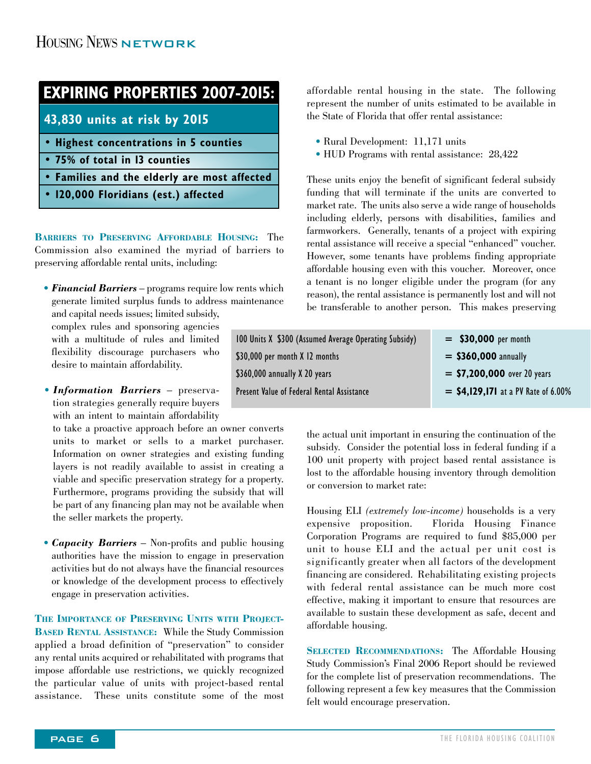### **EXPIRING PROPERTIES 2007-2015:**

**43,830 units at risk by 2015**

- **Highest concentrations in 5 counties**
- **75% of total in 13 counties**
- **Families and the elderly are most affected**
- **120,000 Floridians (est.) affected**

**BARRIERS TO PRESERVING AFFORDABLE HOUSING:** The Commission also examined the myriad of barriers to preserving affordable rental units, including:

• *Financial Barriers* – programs require low rents which generate limited surplus funds to address maintenance

and capital needs issues; limited subsidy, complex rules and sponsoring agencies with a multitude of rules and limited flexibility discourage purchasers who desire to maintain affordability.

• *Information Barriers* – preservation strategies generally require buyers with an intent to maintain affordability

to take a proactive approach before an owner converts units to market or sells to a market purchaser. Information on owner strategies and existing funding layers is not readily available to assist in creating a viable and specific preservation strategy for a property. Furthermore, programs providing the subsidy that will be part of any financing plan may not be available when the seller markets the property.

• *Capacity Barriers* – Non-profits and public housing authorities have the mission to engage in preservation activities but do not always have the financial resources or knowledge of the development process to effectively engage in preservation activities.

**THE IMPORTANCE OF PRESERVING UNITS WITH PROJECT-BASED RENTAL ASSISTANCE:** While the Study Commission applied a broad definition of "preservation" to consider any rental units acquired or rehabilitated with programs that impose affordable use restrictions, we quickly recognized the particular value of units with project-based rental assistance. These units constitute some of the most

affordable rental housing in the state. The following represent the number of units estimated to be available in the State of Florida that offer rental assistance:

- Rural Development: 11,171 units
- HUD Programs with rental assistance: 28,422

These units enjoy the benefit of significant federal subsidy funding that will terminate if the units are converted to market rate. The units also serve a wide range of households including elderly, persons with disabilities, families and farmworkers. Generally, tenants of a project with expiring rental assistance will receive a special "enhanced" voucher. However, some tenants have problems finding appropriate affordable housing even with this voucher. Moreover, once a tenant is no longer eligible under the program (for any reason), the rental assistance is permanently lost and will not be transferable to another person. This makes preserving

| 100 Units X \$300 (Assumed Average Operating Subsidy) | $=$ \$30,000 per month                |
|-------------------------------------------------------|---------------------------------------|
| \$30,000 per month X 12 months                        | $=$ \$360,000 annually                |
| \$360,000 annually X 20 years                         | $=$ \$7,200,000 over 20 years         |
| Present Value of Federal Rental Assistance            | $=$ \$4,129,171 at a PV Rate of 6.00% |

the actual unit important in ensuring the continuation of the subsidy. Consider the potential loss in federal funding if a 100 unit property with project based rental assistance is lost to the affordable housing inventory through demolition or conversion to market rate:

Housing ELI *(extremely low-income)* households is a very expensive proposition. Florida Housing Finance Corporation Programs are required to fund \$85,000 per unit to house ELI and the actual per unit cost is significantly greater when all factors of the development financing are considered. Rehabilitating existing projects with federal rental assistance can be much more cost effective, making it important to ensure that resources are available to sustain these development as safe, decent and affordable housing.

**SELECTED RECOMMENDATIONS:** The Affordable Housing Study Commission's Final 2006 Report should be reviewed for the complete list of preservation recommendations. The following represent a few key measures that the Commission felt would encourage preservation.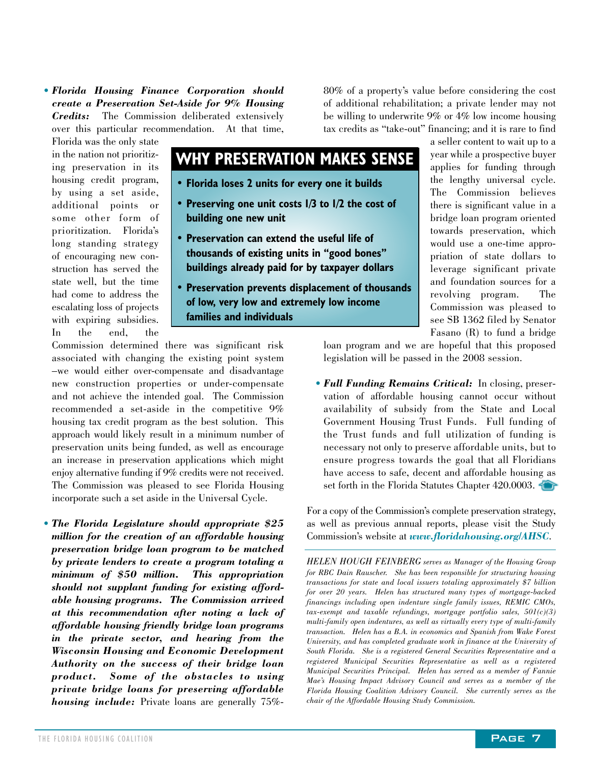• *Florida Housing Finance Corporation should create a Preservation Set-Aside for 9% Housing Credits:* The Commission deliberated extensively over this particular recommendation. At that time,

80% of a property's value before considering the cost of additional rehabilitation; a private lender may not be willing to underwrite 9% or 4% low income housing tax credits as "take-out" financing; and it is rare to find

Florida was the only state in the nation not prioritizing preservation in its housing credit program, by using a set aside, additional points or some other form of prioritization. Florida's long standing strategy of encouraging new construction has served the state well, but the time had come to address the escalating loss of projects with expiring subsidies. In the end, the

#### **WHY PRESERVATION MAKES SENSE**

- **Florida loses 2 units for every one it builds**
- **Preserving one unit costs 1/3 to 1/2 the cost of building one new unit**
- **Preservation can extend the useful life of thousands of existing units in "good bones" buildings already paid for by taxpayer dollars**
- **Preservation prevents displacement of thousands of low, very low and extremely low income families and individuals**

Commission determined there was significant risk associated with changing the existing point system –we would either over-compensate and disadvantage new construction properties or under-compensate and not achieve the intended goal. The Commission recommended a set-aside in the competitive 9% housing tax credit program as the best solution. This approach would likely result in a minimum number of preservation units being funded, as well as encourage an increase in preservation applications which might enjoy alternative funding if 9% credits were not received. The Commission was pleased to see Florida Housing incorporate such a set aside in the Universal Cycle.

• *The Florida Legislature should appropriate \$25 million for the creation of an affordable housing preservation bridge loan program to be matched by private lenders to create a program totaling a minimum of \$50 million. This appropriation should not supplant funding for existing affordable housing programs. The Commission arrived at this recommendation after noting a lack of affordable housing friendly bridge loan programs in the private sector, and hearing from the Wisconsin Housing and Economic Development Authority on the success of their bridge loan product. Some of the obstacles to using private bridge loans for preserving affordable housing include:* Private loans are generally 75%-

a seller content to wait up to a year while a prospective buyer applies for funding through the lengthy universal cycle. The Commission believes there is significant value in a bridge loan program oriented towards preservation, which would use a one-time appropriation of state dollars to leverage significant private and foundation sources for a revolving program. The Commission was pleased to see SB 1362 filed by Senator Fasano (R) to fund a bridge

loan program and we are hopeful that this proposed legislation will be passed in the 2008 session.

• *Full Funding Remains Critical:* In closing, preservation of affordable housing cannot occur without availability of subsidy from the State and Local Government Housing Trust Funds. Full funding of the Trust funds and full utilization of funding is necessary not only to preserve affordable units, but to ensure progress towards the goal that all Floridians have access to safe, decent and affordable housing as set forth in the Florida Statutes Chapter 420.0003.

For a copy of the Commission's complete preservation strategy, as well as previous annual reports, please visit the Study Commission's website at *www.floridahousing.org/AHSC*.

*HELEN HOUGH FEINBERG serves as Manager of the Housing Group for RBC Dain Rauscher. She has been responsible for structuring housing transactions for state and local issuers totaling approximately \$7 billion for over 20 years. Helen has structured many types of mortgage-backed financings including open indenture single family issues, REMIC CMOs, tax-exempt and taxable refundings, mortgage portfolio sales, 501(c)(3) multi-family open indentures, as well as virtually every type of multi-family transaction. Helen has a B.A. in economics and Spanish from Wake Forest University, and has completed graduate work in finance at the University of South Florida. She is a registered General Securities Representative and a registered Municipal Securities Representative as well as a registered Municipal Securities Principal. Helen has served as a member of Fannie Mae's Housing Impact Advisory Council and serves as a member of the Florida Housing Coalition Advisory Council. She currently serves as the chair of the Affordable Housing Study Commission.*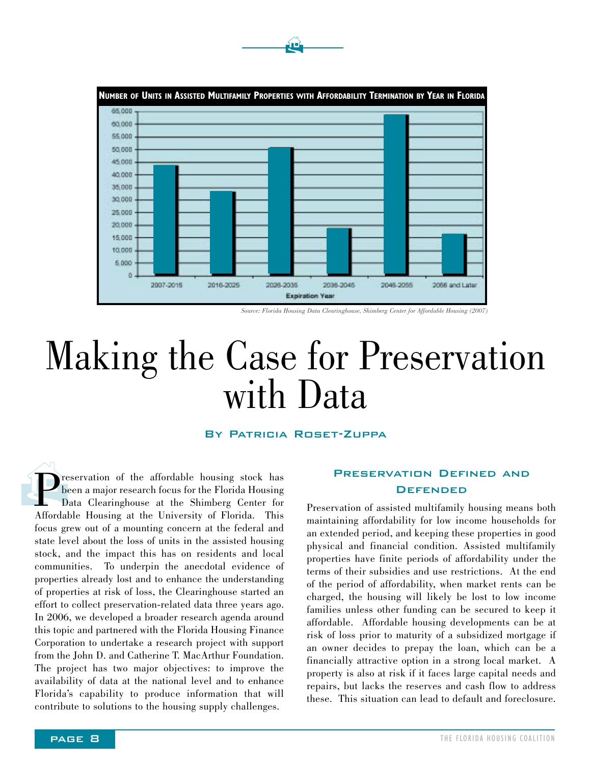

 $\mathbf{P}$ 

## Making the Case for Preservation with Data

#### By Patricia Roset-Zuppa

 $\bigoplus_{b}^{m}$ reservation of the affordable housing stock has been a major research focus for the Florida Housing Data Clearinghouse at the Shimberg Center for Affordable Housing at the University of Florida. This focus grew out of a mounting concern at the federal and state level about the loss of units in the assisted housing stock, and the impact this has on residents and local communities. To underpin the anecdotal evidence of properties already lost and to enhance the understanding of properties at risk of loss, the Clearinghouse started an effort to collect preservation-related data three years ago. In 2006, we developed a broader research agenda around this topic and partnered with the Florida Housing Finance Corporation to undertake a research project with support from the John D. and Catherine T. MacArthur Foundation. The project has two major objectives: to improve the availability of data at the national level and to enhance Florida's capability to produce information that will contribute to solutions to the housing supply challenges.

#### Preservation Defined and **DEFENDED**

Preservation of assisted multifamily housing means both maintaining affordability for low income households for an extended period, and keeping these properties in good physical and financial condition. Assisted multifamily properties have finite periods of affordability under the terms of their subsidies and use restrictions. At the end of the period of affordability, when market rents can be charged, the housing will likely be lost to low income families unless other funding can be secured to keep it affordable. Affordable housing developments can be at risk of loss prior to maturity of a subsidized mortgage if an owner decides to prepay the loan, which can be a financially attractive option in a strong local market. A property is also at risk if it faces large capital needs and repairs, but lacks the reserves and cash flow to address these. This situation can lead to default and foreclosure.

*Source: Florida Housing Data Clearinghouse, Shimberg Center for Affordable Housing (2007)*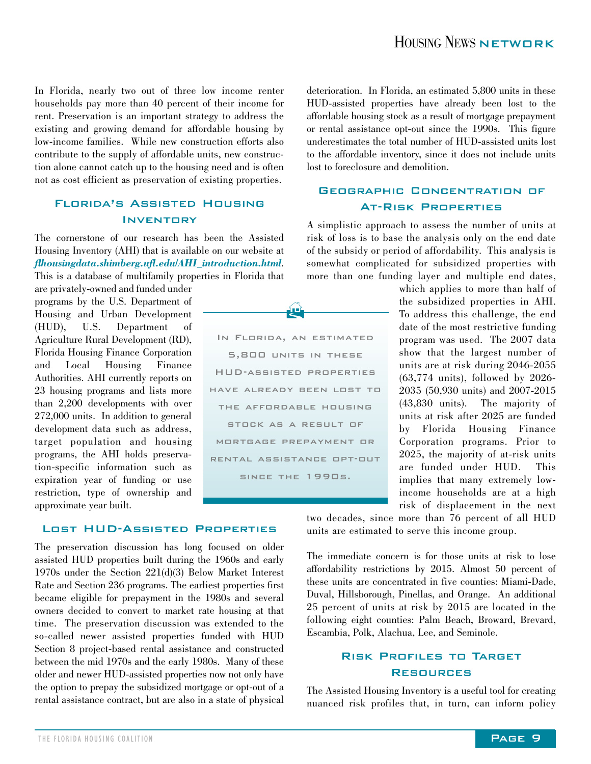In Florida, nearly two out of three low income renter households pay more than 40 percent of their income for rent. Preservation is an important strategy to address the existing and growing demand for affordable housing by low-income families. While new construction efforts also contribute to the supply of affordable units, new construction alone cannot catch up to the housing need and is often not as cost efficient as preservation of existing properties.

#### Florida's Assisted Housing **INVENTORY**

The cornerstone of our research has been the Assisted Housing Inventory (AHI) that is available on our website at *flhousingdata.shimberg.ufl.edu/AHI\_introduction.html*. This is a database of multifamily properties in Florida that

are privately-owned and funded under programs by the U.S. Department of Housing and Urban Development (HUD), U.S. Department of Agriculture Rural Development (RD), Florida Housing Finance Corporation and Local Housing Finance Authorities. AHI currently reports on 23 housing programs and lists more than 2,200 developments with over 272,000 units. In addition to general development data such as address, target population and housing programs, the AHI holds preservation-specific information such as expiration year of funding or use restriction, type of ownership and approximate year built.

Lost HUD-Assisted Properties

The preservation discussion has long focused on older assisted HUD properties built during the 1960s and early 1970s under the Section 221(d)(3) Below Market Interest Rate and Section 236 programs. The earliest properties first became eligible for prepayment in the 1980s and several owners decided to convert to market rate housing at that time. The preservation discussion was extended to the so-called newer assisted properties funded with HUD Section 8 project-based rental assistance and constructed between the mid 1970s and the early 1980s. Many of these older and newer HUD-assisted properties now not only have the option to prepay the subsidized mortgage or opt-out of a rental assistance contract, but are also in a state of physical

deterioration. In Florida, an estimated 5,800 units in these HUD-assisted properties have already been lost to the affordable housing stock as a result of mortgage prepayment or rental assistance opt-out since the 1990s. This figure underestimates the total number of HUD-assisted units lost to the affordable inventory, since it does not include units lost to foreclosure and demolition.

#### Geographic Concentration of At-Risk Properties

A simplistic approach to assess the number of units at risk of loss is to base the analysis only on the end date of the subsidy or period of affordability. This analysis is somewhat complicated for subsidized properties with more than one funding layer and multiple end dates,

> which applies to more than half of the subsidized properties in AHI. To address this challenge, the end date of the most restrictive funding program was used. The 2007 data show that the largest number of units are at risk during 2046-2055 (63,774 units), followed by 2026- 2035 (50,930 units) and 2007-2015 (43,830 units). The majority of units at risk after 2025 are funded by Florida Housing Finance Corporation programs. Prior to 2025, the majority of at-risk units are funded under HUD. This implies that many extremely lowincome households are at a high risk of displacement in the next

two decades, since more than 76 percent of all HUD units are estimated to serve this income group.

The immediate concern is for those units at risk to lose affordability restrictions by 2015. Almost 50 percent of these units are concentrated in five counties: Miami-Dade, Duval, Hillsborough, Pinellas, and Orange. An additional 25 percent of units at risk by 2015 are located in the following eight counties: Palm Beach, Broward, Brevard, Escambia, Polk, Alachua, Lee, and Seminole.

#### Risk Profiles to Target Resources

The Assisted Housing Inventory is a useful tool for creating nuanced risk profiles that, in turn, can inform policy

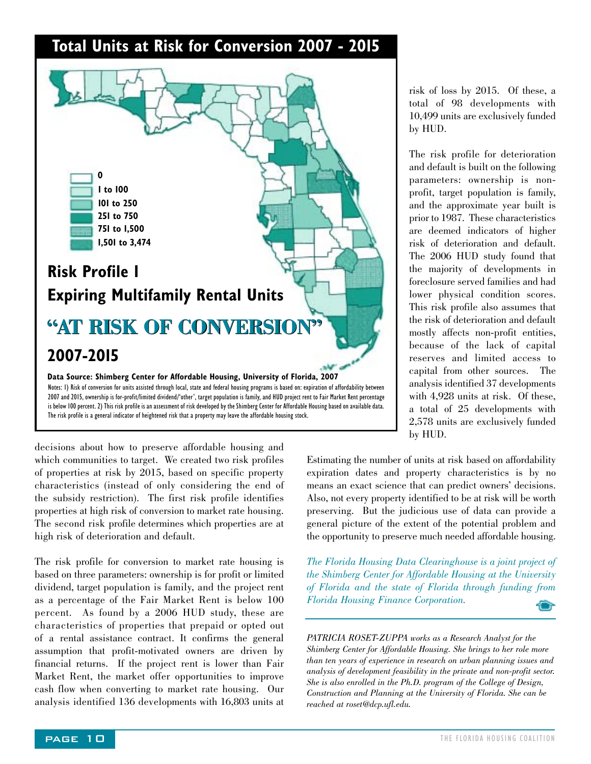#### **Total Units at Risk for Conversion 2007 - 2015**



2007 and 2015, ownership is for-profit/limited dividend/'other', target population is family, and HUD project rent to Fair Market Rent percentage is below 100 percent. 2) This risk profile is an assessment of risk developed by the Shimberg Center for Affordable Housing based on available data. The risk profile is a general indicator of heightened risk that a property may leave the affordable housing stock.

decisions about how to preserve affordable housing and which communities to target. We created two risk profiles of properties at risk by 2015, based on specific property characteristics (instead of only considering the end of the subsidy restriction). The first risk profile identifies properties at high risk of conversion to market rate housing. The second risk profile determines which properties are at high risk of deterioration and default.

The risk profile for conversion to market rate housing is based on three parameters: ownership is for profit or limited dividend, target population is family, and the project rent as a percentage of the Fair Market Rent is below 100 percent. As found by a 2006 HUD study, these are characteristics of properties that prepaid or opted out of a rental assistance contract. It confirms the general assumption that profit-motivated owners are driven by financial returns. If the project rent is lower than Fair Market Rent, the market offer opportunities to improve cash flow when converting to market rate housing. Our analysis identified 136 developments with 16,803 units at

risk of loss by 2015. Of these, a total of 98 developments with 10,499 units are exclusively funded by HUD.

The risk profile for deterioration and default is built on the following parameters: ownership is nonprofit, target population is family, and the approximate year built is prior to 1987. These characteristics are deemed indicators of higher risk of deterioration and default. The 2006 HUD study found that the majority of developments in foreclosure served families and had lower physical condition scores. This risk profile also assumes that the risk of deterioration and default mostly affects non-profit entities, because of the lack of capital reserves and limited access to capital from other sources. The analysis identified 37 developments with 4,928 units at risk. Of these, a total of 25 developments with 2,578 units are exclusively funded by HUD.

Estimating the number of units at risk based on affordability expiration dates and property characteristics is by no means an exact science that can predict owners' decisions. Also, not every property identified to be at risk will be worth preserving. But the judicious use of data can provide a general picture of the extent of the potential problem and the opportunity to preserve much needed affordable housing.

*The Florida Housing Data Clearinghouse is a joint project of the Shimberg Center for Affordable Housing at the University of Florida and the state of Florida through funding from Florida Housing Finance Corporation.*

*PATRICIA ROSET-ZUPPA works as a Research Analyst for the Shimberg Center for Affordable Housing. She brings to her role more than ten years of experience in research on urban planning issues and analysis of development feasibility in the private and non-profit sector. She is also enrolled in the Ph.D. program of the College of Design, Construction and Planning at the University of Florida. She can be reached at roset@dcp.ufl.edu.*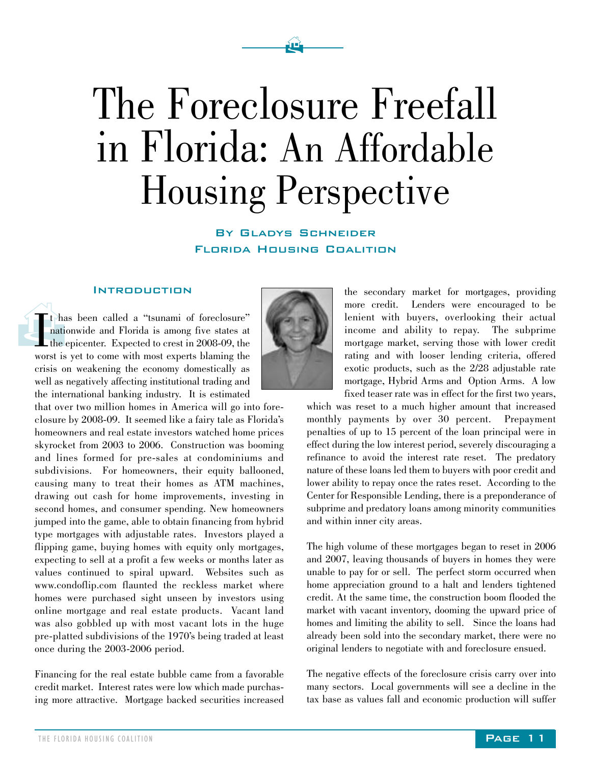# The Foreclosure Freefall in Florida: An Affordable Housing Perspective

 $\mathbf{P}$ 

By Gladys Schneider Florida Housing Coalition

#### **INTRODUCTION**

 $\begin{picture}(120,17)(-10,0) \put(0,0){\line(1,0){15}} \put(10,0){\line(1,0){15}} \put(10,0){\line(1,0){15}} \put(10,0){\line(1,0){15}} \put(10,0){\line(1,0){15}} \put(10,0){\line(1,0){15}} \put(10,0){\line(1,0){15}} \put(10,0){\line(1,0){15}} \put(10,0){\line(1,0){15}} \put(10,0){\line(1,0){15}} \put(10,0){\line(1,0){15}} \put(10$ I<sub>wor</sub> t has been called a "tsunami of foreclosure" nationwide and Florida is among five states at the epicenter. Expected to crest in 2008-09, the worst is yet to come with most experts blaming the crisis on weakening the economy domestically as well as negatively affecting institutional trading and the international banking industry. It is estimated

that over two million homes in America will go into foreclosure by 2008-09. It seemed like a fairy tale as Florida's homeowners and real estate investors watched home prices skyrocket from 2003 to 2006. Construction was booming and lines formed for pre-sales at condominiums and subdivisions. For homeowners, their equity ballooned, causing many to treat their homes as ATM machines, drawing out cash for home improvements, investing in second homes, and consumer spending. New homeowners jumped into the game, able to obtain financing from hybrid type mortgages with adjustable rates. Investors played a flipping game, buying homes with equity only mortgages, expecting to sell at a profit a few weeks or months later as values continued to spiral upward. Websites such as www.condoflip.com flaunted the reckless market where homes were purchased sight unseen by investors using online mortgage and real estate products. Vacant land was also gobbled up with most vacant lots in the huge pre-platted subdivisions of the 1970's being traded at least once during the 2003-2006 period.

Financing for the real estate bubble came from a favorable credit market. Interest rates were low which made purchasing more attractive. Mortgage backed securities increased



the secondary market for mortgages, providing more credit. Lenders were encouraged to be lenient with buyers, overlooking their actual income and ability to repay. The subprime mortgage market, serving those with lower credit rating and with looser lending criteria, offered exotic products, such as the 2/28 adjustable rate mortgage, Hybrid Arms and Option Arms. A low fixed teaser rate was in effect for the first two years,

which was reset to a much higher amount that increased monthly payments by over 30 percent. Prepayment penalties of up to 15 percent of the loan principal were in effect during the low interest period, severely discouraging a refinance to avoid the interest rate reset. The predatory nature of these loans led them to buyers with poor credit and lower ability to repay once the rates reset. According to the Center for Responsible Lending, there is a preponderance of subprime and predatory loans among minority communities and within inner city areas.

The high volume of these mortgages began to reset in 2006 and 2007, leaving thousands of buyers in homes they were unable to pay for or sell. The perfect storm occurred when home appreciation ground to a halt and lenders tightened credit. At the same time, the construction boom flooded the market with vacant inventory, dooming the upward price of homes and limiting the ability to sell. Since the loans had already been sold into the secondary market, there were no original lenders to negotiate with and foreclosure ensued.

The negative effects of the foreclosure crisis carry over into many sectors. Local governments will see a decline in the tax base as values fall and economic production will suffer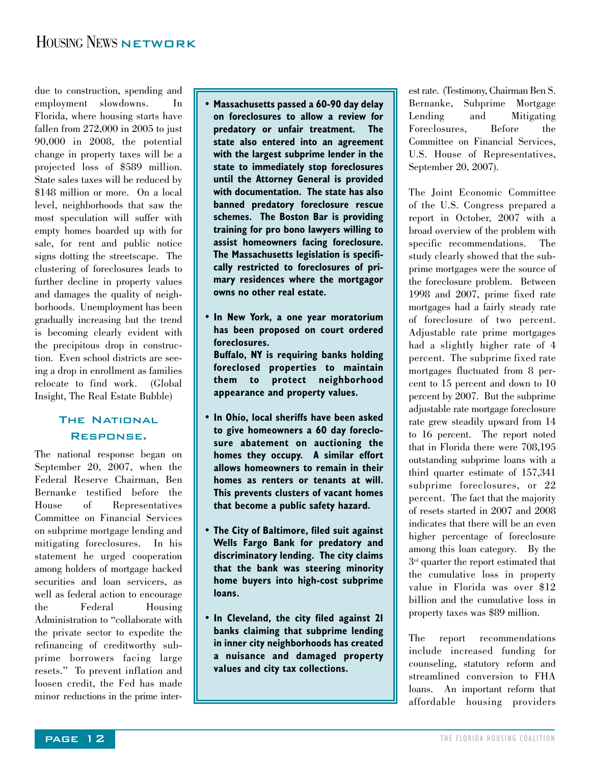#### HOUSING NEWS NETWORK

due to construction, spending and employment slowdowns. In Florida, where housing starts have fallen from 272,000 in 2005 to just 90,000 in 2008, the potential change in property taxes will be a projected loss of \$589 million. State sales taxes will be reduced by \$148 million or more. On a local level, neighborhoods that saw the most speculation will suffer with empty homes boarded up with for sale, for rent and public notice signs dotting the streetscape. The clustering of foreclosures leads to further decline in property values and damages the quality of neighborhoods. Unemployment has been gradually increasing but the trend is becoming clearly evident with the precipitous drop in construction. Even school districts are seeing a drop in enrollment as families relocate to find work. (Global Insight, The Real Estate Bubble)

#### **THE NATIONAL** Response.

The national response began on September 20, 2007, when the Federal Reserve Chairman, Ben Bernanke testified before the House of Representatives Committee on Financial Services on subprime mortgage lending and mitigating foreclosures. In his statement he urged cooperation among holders of mortgage backed securities and loan servicers, as well as federal action to encourage the Federal Housing Administration to "collaborate with the private sector to expedite the refinancing of creditworthy subprime borrowers facing large resets." To prevent inflation and loosen credit, the Fed has made minor reductions in the prime inter-

- **Massachusetts passed a 60-90 day delay on foreclosures to allow a review for predatory or unfair treatment. The state also entered into an agreement with the largest subprime lender in the state to immediately stop foreclosures until the Attorney General is provided with documentation. The state has also banned predatory foreclosure rescue schemes. The Boston Bar is providing training for pro bono lawyers willing to assist homeowners facing foreclosure. The Massachusetts legislation is specifically restricted to foreclosures of primary residences where the mortgagor owns no other real estate.**
- **In New York, a one year moratorium has been proposed on court ordered foreclosures. • Buffalo, NY is requiring banks holding foreclosed properties to maintain them to protect neighborhood appearance and property values.**
- **In Ohio, local sheriffs have been asked to give homeowners a 60 day foreclosure abatement on auctioning the homes they occupy. A similar effort allows homeowners to remain in their homes as renters or tenants at will. This prevents clusters of vacant homes that become a public safety hazard.**
- **The City of Baltimore, filed suit against Wells Fargo Bank for predatory and discriminatory lending. The city claims that the bank was steering minority home buyers into high-cost subprime loans.**
- **In Cleveland, the city filed against 21 banks claiming that subprime lending in inner city neighborhoods has created a nuisance and damaged property values and city tax collections.**

est rate. (Testimony, Chairman Ben S. Bernanke, Subprime Mortgage Lending and Mitigating Foreclosures, Before the Committee on Financial Services, U.S. House of Representatives, September 20, 2007).

The Joint Economic Committee of the U.S. Congress prepared a report in October, 2007 with a broad overview of the problem with specific recommendations. The study clearly showed that the subprime mortgages were the source of the foreclosure problem. Between 1998 and 2007, prime fixed rate mortgages had a fairly steady rate of foreclosure of two percent. Adjustable rate prime mortgages had a slightly higher rate of 4 percent. The subprime fixed rate mortgages fluctuated from 8 percent to 15 percent and down to 10 percent by 2007. But the subprime adjustable rate mortgage foreclosure rate grew steadily upward from 14 to 16 percent. The report noted that in Florida there were 708,195 outstanding subprime loans with a third quarter estimate of 157,341 subprime foreclosures, or 22 percent. The fact that the majority of resets started in 2007 and 2008 indicates that there will be an even higher percentage of foreclosure among this loan category. By the  $3<sup>rd</sup>$  quarter the report estimated that the cumulative loss in property value in Florida was over \$12 billion and the cumulative loss in property taxes was \$89 million.

The report recommendations include increased funding for counseling, statutory reform and streamlined conversion to FHA loans. An important reform that affordable housing providers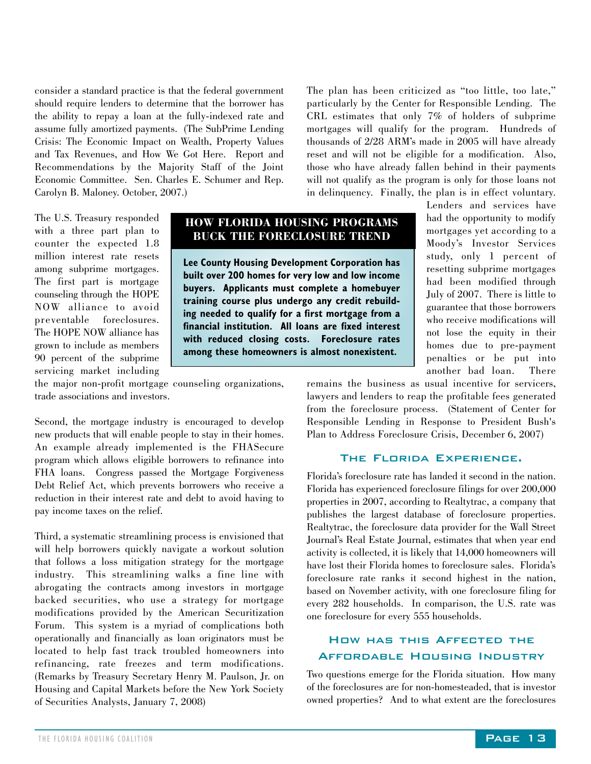consider a standard practice is that the federal government should require lenders to determine that the borrower has the ability to repay a loan at the fully-indexed rate and assume fully amortized payments. (The SubPrime Lending Crisis: The Economic Impact on Wealth, Property Values and Tax Revenues, and How We Got Here. Report and Recommendations by the Majority Staff of the Joint Economic Committee. Sen. Charles E. Schumer and Rep. Carolyn B. Maloney. October, 2007.)

The plan has been criticized as "too little, too late," particularly by the Center for Responsible Lending. The CRL estimates that only 7% of holders of subprime mortgages will qualify for the program. Hundreds of thousands of 2/28 ARM's made in 2005 will have already reset and will not be eligible for a modification. Also, those who have already fallen behind in their payments will not qualify as the program is only for those loans not in delinquency. Finally, the plan is in effect voluntary.

The U.S. Treasury responded with a three part plan to counter the expected 1.8 million interest rate resets among subprime mortgages. The first part is mortgage counseling through the HOPE NOW alliance to avoid preventable foreclosures. The HOPE NOW alliance has grown to include as members 90 percent of the subprime servicing market including

#### **HOW FLORIDA HOUSING PROGRAMS BUCK THE FORECLOSURE TREND**

**Lee County Housing Development Corporation has built over 200 homes for very low and low income buyers. Applicants must complete a homebuyer training course plus undergo any credit rebuilding needed to qualify for a first mortgage from a financial institution. All loans are fixed interest with reduced closing costs. Foreclosure rates among these homeowners is almost nonexistent.** 

Lenders and services have had the opportunity to modify mortgages yet according to a Moody's Investor Services study, only 1 percent of resetting subprime mortgages had been modified through July of 2007. There is little to guarantee that those borrowers who receive modifications will not lose the equity in their homes due to pre-payment penalties or be put into another bad loan. There

remains the business as usual incentive for servicers, lawyers and lenders to reap the profitable fees generated from the foreclosure process. (Statement of Center for Responsible Lending in Response to President Bush's Plan to Address Foreclosure Crisis, December 6, 2007)

#### The Florida Experience.

Florida's foreclosure rate has landed it second in the nation. Florida has experienced foreclosure filings for over 200,000 properties in 2007, according to Realtytrac, a company that publishes the largest database of foreclosure properties. Realtytrac, the foreclosure data provider for the Wall Street Journal's Real Estate Journal, estimates that when year end activity is collected, it is likely that 14,000 homeowners will have lost their Florida homes to foreclosure sales. Florida's foreclosure rate ranks it second highest in the nation, based on November activity, with one foreclosure filing for every 282 households. In comparison, the U.S. rate was one foreclosure for every 555 households.

#### How has this Affected the Affordable Housing Industry

Two questions emerge for the Florida situation. How many of the foreclosures are for non-homesteaded, that is investor owned properties? And to what extent are the foreclosures

the major non-profit mortgage counseling organizations, trade associations and investors.

Second, the mortgage industry is encouraged to develop new products that will enable people to stay in their homes. An example already implemented is the FHASecure program which allows eligible borrowers to refinance into FHA loans. Congress passed the Mortgage Forgiveness Debt Relief Act, which prevents borrowers who receive a reduction in their interest rate and debt to avoid having to pay income taxes on the relief.

Third, a systematic streamlining process is envisioned that will help borrowers quickly navigate a workout solution that follows a loss mitigation strategy for the mortgage industry. This streamlining walks a fine line with abrogating the contracts among investors in mortgage backed securities, who use a strategy for mortgage modifications provided by the American Securitization Forum. This system is a myriad of complications both operationally and financially as loan originators must be located to help fast track troubled homeowners into refinancing, rate freezes and term modifications. (Remarks by Treasury Secretary Henry M. Paulson, Jr. on Housing and Capital Markets before the New York Society of Securities Analysts, January 7, 2008)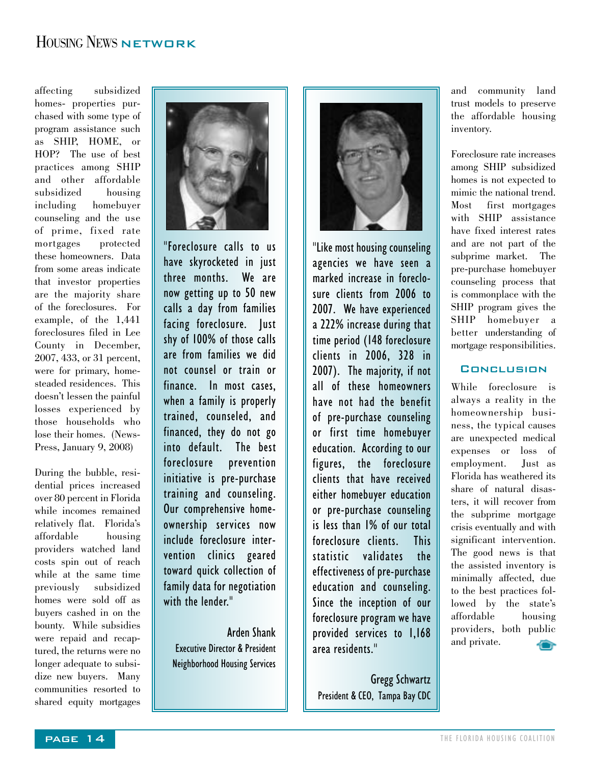#### HOUSING NEWS NETWORK

affecting subsidized homes- properties purchased with some type of program assistance such as SHIP, HOME, or HOP? The use of best practices among SHIP and other affordable subsidized housing including homebuyer counseling and the use of prime, fixed rate mortgages protected these homeowners. Data from some areas indicate that investor properties are the majority share of the foreclosures. For example, of the 1,441 foreclosures filed in Lee County in December, 2007, 433, or 31 percent, were for primary, homesteaded residences. This doesn't lessen the painful losses experienced by those households who lose their homes. (News-Press, January 9, 2008)

During the bubble, residential prices increased over 80 percent in Florida while incomes remained relatively flat. Florida's affordable housing providers watched land costs spin out of reach while at the same time previously subsidized homes were sold off as buyers cashed in on the bounty. While subsidies were repaid and recaptured, the returns were no longer adequate to subsidize new buyers. Many communities resorted to shared equity mortgages



"Foreclosure calls to us have skyrocketed in just three months. We are now getting up to 50 new calls a day from families facing foreclosure. Just shy of 100% of those calls are from families we did not counsel or train or finance. In most cases, when a family is properly trained, counseled, and financed, they do not go into default. The best foreclosure prevention initiative is pre-purchase training and counseling. Our comprehensive homeownership services now include foreclosure intervention clinics geared toward quick collection of family data for negotiation with the lender."

Arden Shank Executive Director & President Neighborhood Housing Services



"Like most housing counseling agencies we have seen a marked increase in foreclosure clients from 2006 to 2007. We have experienced a 222% increase during that time period (148 foreclosure clients in 2006, 328 in 2007). The majority, if not all of these homeowners have not had the benefit of pre-purchase counseling or first time homebuyer education. According to our figures, the foreclosure clients that have received either homebuyer education or pre-purchase counseling is less than 1% of our total foreclosure clients. This statistic validates the effectiveness of pre-purchase education and counseling. Since the inception of our foreclosure program we have provided services to 1,168 area residents."

Gregg Schwartz President & CEO, Tampa Bay CDC and community land trust models to preserve the affordable housing inventory.

Foreclosure rate increases among SHIP subsidized homes is not expected to mimic the national trend. Most first mortgages with SHIP assistance have fixed interest rates and are not part of the subprime market. The pre-purchase homebuyer counseling process that is commonplace with the SHIP program gives the SHIP homebuyer a better understanding of mortgage responsibilities.

#### **CONCLUSION**

While foreclosure is always a reality in the homeownership business, the typical causes are unexpected medical expenses or loss of employment. Florida has weathered its share of natural disasters, it will recover from the subprime mortgage crisis eventually and with significant intervention. The good news is that the assisted inventory is minimally affected, due to the best practices followed by the state's affordable housing providers, both public and private. 400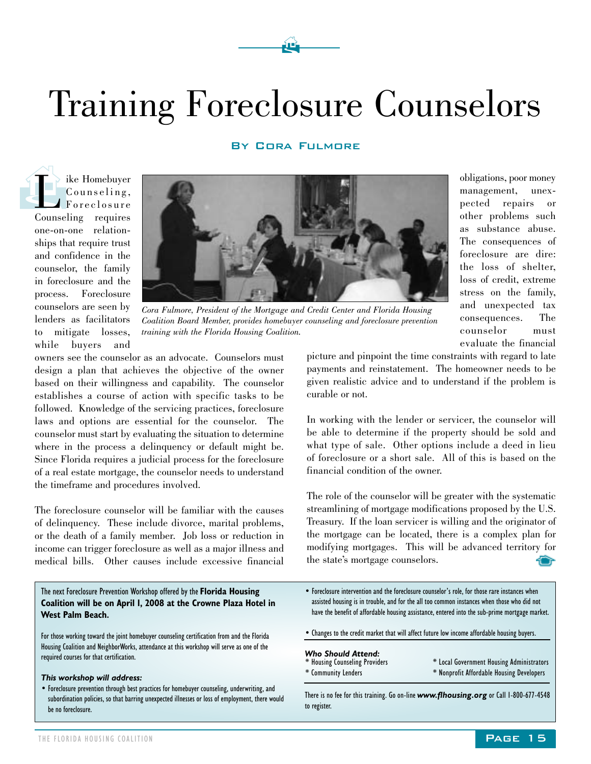# Training Foreclosure Counselors

 $\mathbf{\hat{F}}$ 

#### BY CORA FULMORE

The Homebuyer<br>Counseling,<br>Counseling requires Counseling, Foreclosure one-on-one relationships that require trust and confidence in the counselor, the family in foreclosure and the process. Foreclosure counselors are seen by lenders as facilitators to mitigate losses, while buyers and



*Cora Fulmore, President of the Mortgage and Credit Center and Florida Housing Coalition Board Member, provides homebuyer counseling and foreclosure prevention training with the Florida Housing Coalition.*

owners see the counselor as an advocate. Counselors must design a plan that achieves the objective of the owner based on their willingness and capability. The counselor establishes a course of action with specific tasks to be followed. Knowledge of the servicing practices, foreclosure laws and options are essential for the counselor. The counselor must start by evaluating the situation to determine where in the process a delinquency or default might be. Since Florida requires a judicial process for the foreclosure of a real estate mortgage, the counselor needs to understand the timeframe and procedures involved.

The foreclosure counselor will be familiar with the causes of delinquency. These include divorce, marital problems, or the death of a family member. Job loss or reduction in income can trigger foreclosure as well as a major illness and medical bills. Other causes include excessive financial

#### The next Foreclosure Prevention Workshop offered by the **Florida Housing Coalition will be on April 1, 2008 at the Crowne Plaza Hotel in West Palm Beach.**

For those working toward the joint homebuyer counseling certification from and the Florida Housing Coalition and NeighborWorks, attendance at this workshop will serve as one of the required courses for that certification.

#### *This workshop will address:*

• Foreclosure prevention through best practices for homebuyer counseling, underwriting, and subordination policies, so that barring unexpected illnesses or loss of employment, there would be no foreclosure.

evaluate the financial picture and pinpoint the time constraints with regard to late payments and reinstatement. The homeowner needs to be given realistic advice and to understand if the problem is curable or not.

obligations, poor money management, unexpected repairs or other problems such as substance abuse. The consequences of foreclosure are dire: the loss of shelter, loss of credit, extreme stress on the family, and unexpected tax consequences. The counselor must

In working with the lender or servicer, the counselor will be able to determine if the property should be sold and what type of sale. Other options include a deed in lieu of foreclosure or a short sale. All of this is based on the financial condition of the owner.

The role of the counselor will be greater with the systematic streamlining of mortgage modifications proposed by the U.S. Treasury. If the loan servicer is willing and the originator of the mortgage can be located, there is a complex plan for modifying mortgages. This will be advanced territory for the state's mortgage counselors.

- Foreclosure intervention and the foreclosure counselor's role, for those rare instances when assisted housing is in trouble, and for the all too common instances when those who did not have the benefit of affordable housing assistance, entered into the sub-prime mortgage market.
- Changes to the credit market that will affect future low income affordable housing buyers.

#### *Who Should Attend:*

- \* Housing Counseling Providers \* Community Lenders
- \* Local Government Housing Administrators \* Nonprofit Affordable Housing Developers

There is no fee for this training. Go on-line *www.flhousing.org* or Call 1-800-677-4548 to register.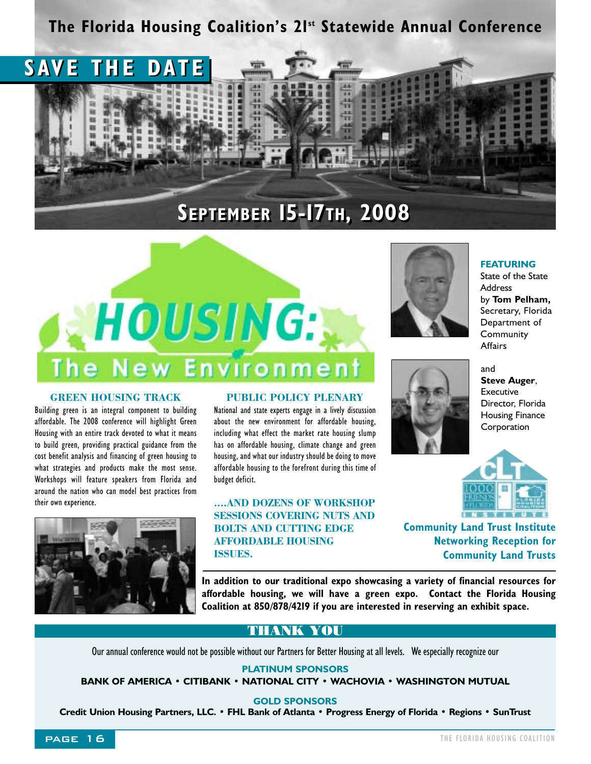### **The Florida Housing Coalition's 21st Statewide Annual Conference**





#### **GREEN HOUSING TRACK**

Building green is an integral component to building affordable. The 2008 conference will highlight Green Housing with an entire track devoted to what it means to build green, providing practical guidance from the cost benefit analysis and financing of green housing to what strategies and products make the most sense. Workshops will feature speakers from Florida and around the nation who can model best practices from their own experience.



#### **PUBLIC POLICY PLENARY**

National and state experts engage in a lively discussion about the new environment for affordable housing, including what effect the market rate housing slump has on affordable housing, climate change and green housing, and what our industry should be doing to move affordable housing to the forefront during this time of budget deficit.

**....AND DOZENS OF WORKSHOP SESSIONS COVERING NUTS AND BOLTS AND CUTTING EDGE AFFORDABLE HOUSING ISSUES.**



**FEATURING** 

State of the State **Address** by **Tom Pelham,** Secretary, Florida Department of **Community Affairs** 



and **Steve Auger**, Executive Director, Florida Housing Finance **Corporation** 



**Community Land Trust Institute Networking Reception for Community Land Trusts**

**In addition to our traditional expo showcasing a variety of financial resources for affordable housing, we will have a green expo. Contact the Florida Housing Coalition at 850/878/4219 if you are interested in reserving an exhibit space.**

#### **THANK YOU**

Our annual conference would not be possible without our Partners for Better Housing at all levels. We especially recognize our

**PLATINUM SPONSORS**

**BANK OF AMERICA • CITIBANK • NATIONAL CITY • WACHOVIA • WASHINGTON MUTUAL**

**GOLD SPONSORS**

**Credit Union Housing Partners, LLC. • FHL Bank of Atlanta • Progress Energy of Florida • Regions • SunTrust**

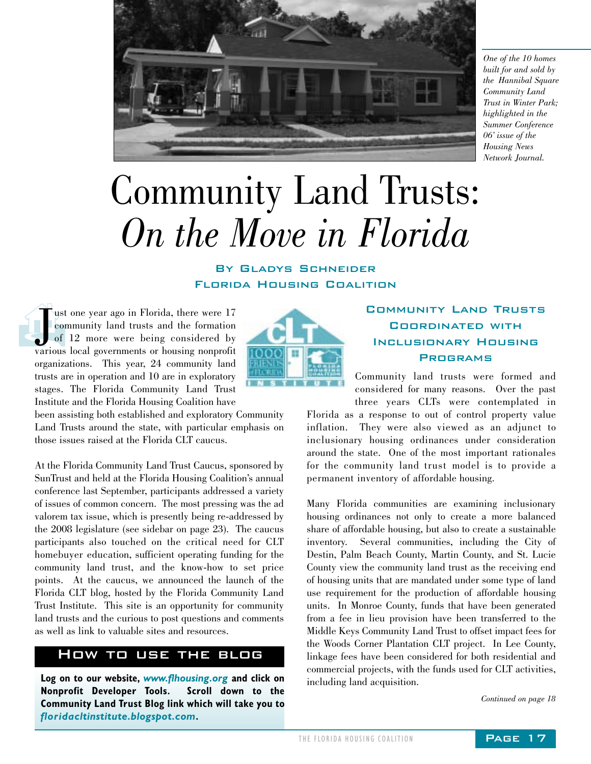

*One of the 10 homes built for and sold by the Hannibal Square Community Land Trust in Winter Park; highlighted in the Summer Conference 06' issue of the Housing News Network Journal.*

# Community Land Trusts: *On the Move in Florida*

By Gladys Schneider Florida Housing Coalition

ust one year ago in Florida, there were 17<br>
community land trusts and the formation<br>
of 12 more were being considered by<br>
various local governments or housing nonprofit ust one year ago in Florida, there were 17 community land trusts and the formation of 12 more were being considered by organizations. This year, 24 community land trusts are in operation and 10 are in exploratory stages. The Florida Community Land Trust Institute and the Florida Housing Coalition have

been assisting both established and exploratory Community Land Trusts around the state, with particular emphasis on those issues raised at the Florida CLT caucus.

At the Florida Community Land Trust Caucus, sponsored by SunTrust and held at the Florida Housing Coalition's annual conference last September, participants addressed a variety of issues of common concern. The most pressing was the ad valorem tax issue, which is presently being re-addressed by the 2008 legislature (see sidebar on page 23). The caucus participants also touched on the critical need for CLT homebuyer education, sufficient operating funding for the community land trust, and the know-how to set price points. At the caucus, we announced the launch of the Florida CLT blog, hosted by the Florida Community Land Trust Institute. This site is an opportunity for community land trusts and the curious to post questions and comments as well as link to valuable sites and resources.

#### How to use the blog

**Log on to our website,** *www.flhousing.org* **and click on Nonprofit Developer Tools. Scroll down to the Community Land Trust Blog link which will take you to** *floridacltinstitute.blogspot.com***.** 



#### Community Land Trusts Coordinated with Inclusionary Housing **PROGRAMS**

Community land trusts were formed and considered for many reasons. Over the past three years CLTs were contemplated in

Florida as a response to out of control property value inflation. They were also viewed as an adjunct to inclusionary housing ordinances under consideration around the state. One of the most important rationales for the community land trust model is to provide a permanent inventory of affordable housing.

Many Florida communities are examining inclusionary housing ordinances not only to create a more balanced share of affordable housing, but also to create a sustainable inventory. Several communities, including the City of Destin, Palm Beach County, Martin County, and St. Lucie County view the community land trust as the receiving end of housing units that are mandated under some type of land use requirement for the production of affordable housing units. In Monroe County, funds that have been generated from a fee in lieu provision have been transferred to the Middle Keys Community Land Trust to offset impact fees for the Woods Corner Plantation CLT project. In Lee County, linkage fees have been considered for both residential and commercial projects, with the funds used for CLT activities, including land acquisition.

*Continued on page 18*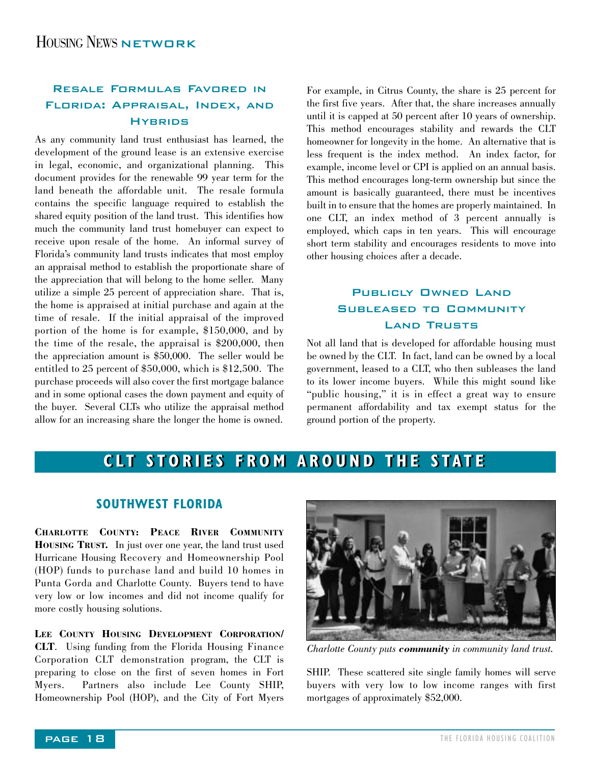#### Resale Formulas Favored in Florida: Appraisal, Index, and **HYBRIDS**

As any community land trust enthusiast has learned, the development of the ground lease is an extensive exercise in legal, economic, and organizational planning. This document provides for the renewable 99 year term for the land beneath the affordable unit. The resale formula contains the specific language required to establish the shared equity position of the land trust. This identifies how much the community land trust homebuyer can expect to receive upon resale of the home. An informal survey of Florida's community land trusts indicates that most employ an appraisal method to establish the proportionate share of the appreciation that will belong to the home seller. Many utilize a simple 25 percent of appreciation share. That is, the home is appraised at initial purchase and again at the time of resale. If the initial appraisal of the improved portion of the home is for example, \$150,000, and by the time of the resale, the appraisal is \$200,000, then the appreciation amount is \$50,000. The seller would be entitled to 25 percent of \$50,000, which is \$12,500. The purchase proceeds will also cover the first mortgage balance and in some optional cases the down payment and equity of the buyer. Several CLTs who utilize the appraisal method allow for an increasing share the longer the home is owned.

For example, in Citrus County, the share is 25 percent for the first five years. After that, the share increases annually until it is capped at 50 percent after 10 years of ownership. This method encourages stability and rewards the CLT homeowner for longevity in the home. An alternative that is less frequent is the index method. An index factor, for example, income level or CPI is applied on an annual basis. This method encourages long-term ownership but since the amount is basically guaranteed, there must be incentives built in to ensure that the homes are properly maintained. In one CLT, an index method of 3 percent annually is employed, which caps in ten years. This will encourage short term stability and encourages residents to move into other housing choices after a decade.

#### PUBLICLY OWNED LAND Subleased to Community Land Trusts

Not all land that is developed for affordable housing must be owned by the CLT. In fact, land can be owned by a local government, leased to a CLT, who then subleases the land to its lower income buyers. While this might sound like "public housing," it is in effect a great way to ensure permanent affordability and tax exempt status for the ground portion of the property.

#### **CLT STORIES FROM AROUND THE STATE CLT STORIES FROM AROUND THE STATE**

#### **SOUTHWEST FLORIDA**

**CHARLOTTE COUNTY: PEACE RIVER COMMUNITY HOUSING TRUST.** In just over one year, the land trust used Hurricane Housing Recovery and Homeownership Pool (HOP) funds to purchase land and build 10 homes in Punta Gorda and Charlotte County. Buyers tend to have very low or low incomes and did not income qualify for more costly housing solutions.

**LEE COUNTY HOUSING DEVELOPMENT CORPORATION/ CLT**. Using funding from the Florida Housing Finance Corporation CLT demonstration program, the CLT is preparing to close on the first of seven homes in Fort Myers. Partners also include Lee County SHIP, Homeownership Pool (HOP), and the City of Fort Myers



*Charlotte County puts community in community land trust.*

SHIP. These scattered site single family homes will serve buyers with very low to low income ranges with first mortgages of approximately \$52,000.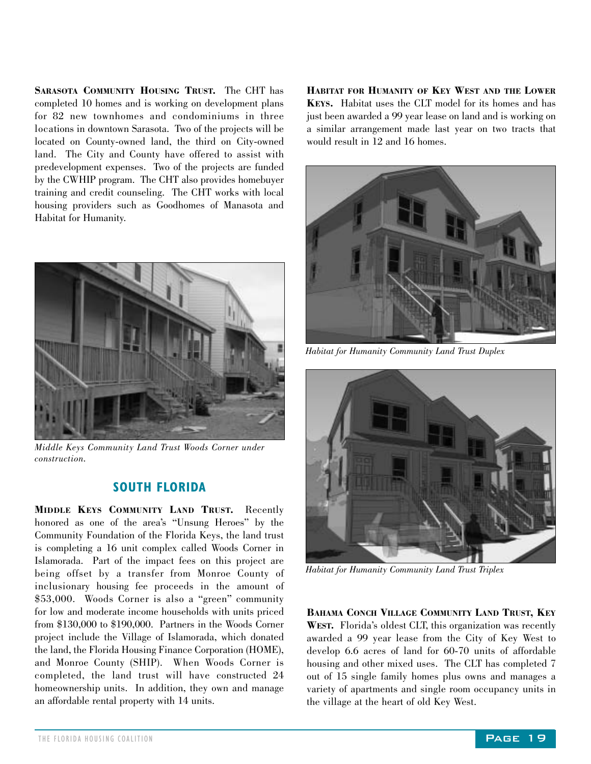**SARASOTA COMMUNITY HOUSING TRUST.** The CHT has completed 10 homes and is working on development plans for 82 new townhomes and condominiums in three locations in downtown Sarasota. Two of the projects will be located on County-owned land, the third on City-owned land. The City and County have offered to assist with predevelopment expenses. Two of the projects are funded by the CWHIP program. The CHT also provides homebuyer training and credit counseling. The CHT works with local housing providers such as Goodhomes of Manasota and Habitat for Humanity.



*Middle Keys Community Land Trust Woods Corner under construction.*

#### **SOUTH FLORIDA**

**MIDDLE KEYS COMMUNITY LAND TRUST.** Recently honored as one of the area's "Unsung Heroes" by the Community Foundation of the Florida Keys, the land trust is completing a 16 unit complex called Woods Corner in Islamorada. Part of the impact fees on this project are being offset by a transfer from Monroe County of inclusionary housing fee proceeds in the amount of \$53,000. Woods Corner is also a "green" community for low and moderate income households with units priced from \$130,000 to \$190,000. Partners in the Woods Corner project include the Village of Islamorada, which donated the land, the Florida Housing Finance Corporation (HOME), and Monroe County (SHIP). When Woods Corner is completed, the land trust will have constructed 24 homeownership units. In addition, they own and manage an affordable rental property with 14 units.

**HABITAT FOR HUMANITY OF KEY WEST AND THE LOWER KEYS.** Habitat uses the CLT model for its homes and has just been awarded a 99 year lease on land and is working on a similar arrangement made last year on two tracts that would result in 12 and 16 homes.



*Habitat for Humanity Community Land Trust Duplex*



*Habitat for Humanity Community Land Trust Triplex*

**BAHAMA CONCH VILLAGE COMMUNITY LAND TRUST, KEY WEST.** Florida's oldest CLT, this organization was recently awarded a 99 year lease from the City of Key West to develop 6.6 acres of land for 60-70 units of affordable housing and other mixed uses. The CLT has completed 7 out of 15 single family homes plus owns and manages a variety of apartments and single room occupancy units in the village at the heart of old Key West.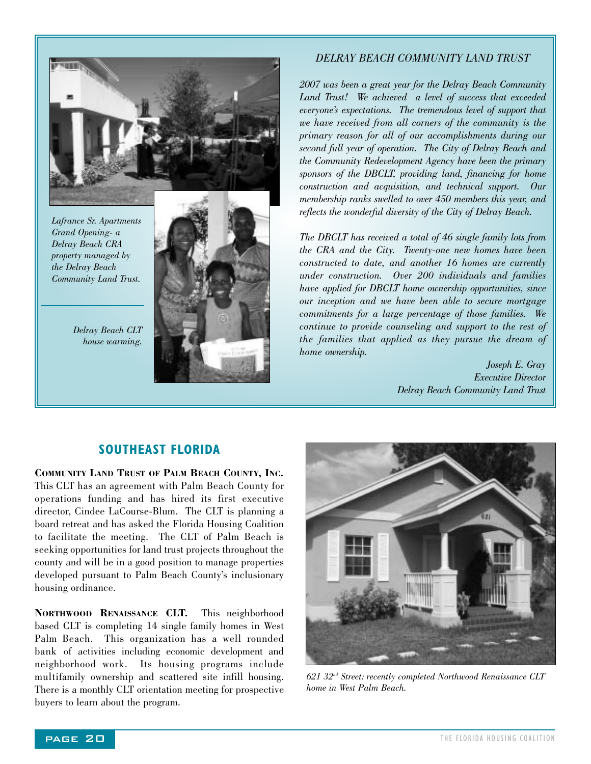

*Lafrance Sr. Apartments Grand Opening- a Delray Beach CRA property managed by the Delray Beach Community Land Trust.*

> *Delray Beach CLT house warming.*



#### *DELRAY BEACH COMMUNITY LAND TRUST*

*2007 was been a great year for the Delray Beach Community Land Trust! We achieved a level of success that exceeded everyone's expectations. The tremendous level of support that we have received from all corners of the community is the primary reason for all of our accomplishments during our second full year of operation. The City of Delray Beach and the Community Redevelopment Agency have been the primary sponsors of the DBCLT, providing land, financing for home construction and acquisition, and technical support. Our membership ranks swelled to over 450 members this year, and reflects the wonderful diversity of the City of Delray Beach.* 

*The DBCLT has received a total of 46 single family lots from the CRA and the City. Twenty-one new homes have been constructed to date, and another 16 homes are currently under construction. Over 200 individuals and families have applied for DBCLT home ownership opportunities, since our inception and we have been able to secure mortgage commitments for a large percentage of those families. We continue to provide counseling and support to the rest of the families that applied as they pursue the dream of home ownership.*

> *Joseph E. Gray Executive Director Delray Beach Community Land Trust*

#### **SOUTHEAST FLORIDA**

**COMMUNITY LAND TRUST OF PALM BEACH COUNTY, INC.** This CLT has an agreement with Palm Beach County for operations funding and has hired its first executive director, Cindee LaCourse-Blum. The CLT is planning a board retreat and has asked the Florida Housing Coalition to facilitate the meeting. The CLT of Palm Beach is seeking opportunities for land trust projects throughout the county and will be in a good position to manage properties developed pursuant to Palm Beach County's inclusionary housing ordinance.

**NORTHWOOD RENAISSANCE CLT.** This neighborhood based CLT is completing 14 single family homes in West Palm Beach. This organization has a well rounded bank of activities including economic development and neighborhood work. Its housing programs include multifamily ownership and scattered site infill housing. There is a monthly CLT orientation meeting for prospective buyers to learn about the program.



*621 32nd Street: recently completed Northwood Renaissance CLT home in West Palm Beach.*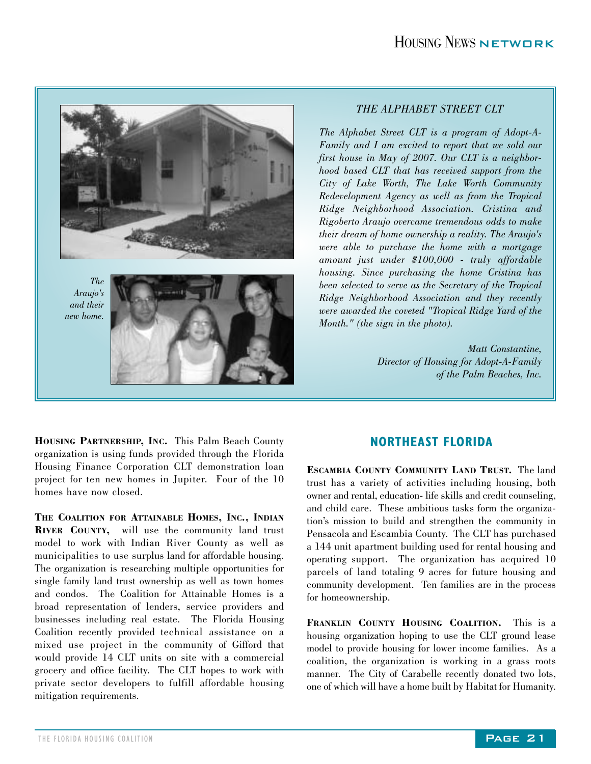

#### *THE ALPHABET STREET CLT*

*The Alphabet Street CLT is a program of Adopt-A-Family and I am excited to report that we sold our first house in May of 2007. Our CLT is a neighborhood based CLT that has received support from the City of Lake Worth, The Lake Worth Community Redevelopment Agency as well as from the Tropical Ridge Neighborhood Association. Cristina and Rigoberto Araujo overcame tremendous odds to make their dream of home ownership a reality. The Araujo's were able to purchase the home with a mortgage amount just under \$100,000 - truly affordable housing. Since purchasing the home Cristina has been selected to serve as the Secretary of the Tropical Ridge Neighborhood Association and they recently were awarded the coveted "Tropical Ridge Yard of the Month." (the sign in the photo).* 

> *Matt Constantine, Director of Housing for Adopt-A-Family of the Palm Beaches, Inc.*

**HOUSING PARTNERSHIP, INC.** This Palm Beach County organization is using funds provided through the Florida Housing Finance Corporation CLT demonstration loan project for ten new homes in Jupiter. Four of the 10 homes have now closed.

**THE COALITION FOR ATTAINABLE HOMES, INC., INDIAN RIVER COUNTY,** will use the community land trust model to work with Indian River County as well as municipalities to use surplus land for affordable housing. The organization is researching multiple opportunities for single family land trust ownership as well as town homes and condos. The Coalition for Attainable Homes is a broad representation of lenders, service providers and businesses including real estate. The Florida Housing Coalition recently provided technical assistance on a mixed use project in the community of Gifford that would provide 14 CLT units on site with a commercial grocery and office facility. The CLT hopes to work with private sector developers to fulfill affordable housing mitigation requirements.

#### **NORTHEAST FLORIDA**

**ESCAMBIA COUNTY COMMUNITY LAND TRUST.** The land trust has a variety of activities including housing, both owner and rental, education- life skills and credit counseling, and child care. These ambitious tasks form the organization's mission to build and strengthen the community in Pensacola and Escambia County. The CLT has purchased a 144 unit apartment building used for rental housing and operating support. The organization has acquired 10 parcels of land totaling 9 acres for future housing and community development. Ten families are in the process for homeownership.

**FRANKLIN COUNTY HOUSING COALITION.** This is a housing organization hoping to use the CLT ground lease model to provide housing for lower income families. As a coalition, the organization is working in a grass roots manner. The City of Carabelle recently donated two lots, one of which will have a home built by Habitat for Humanity.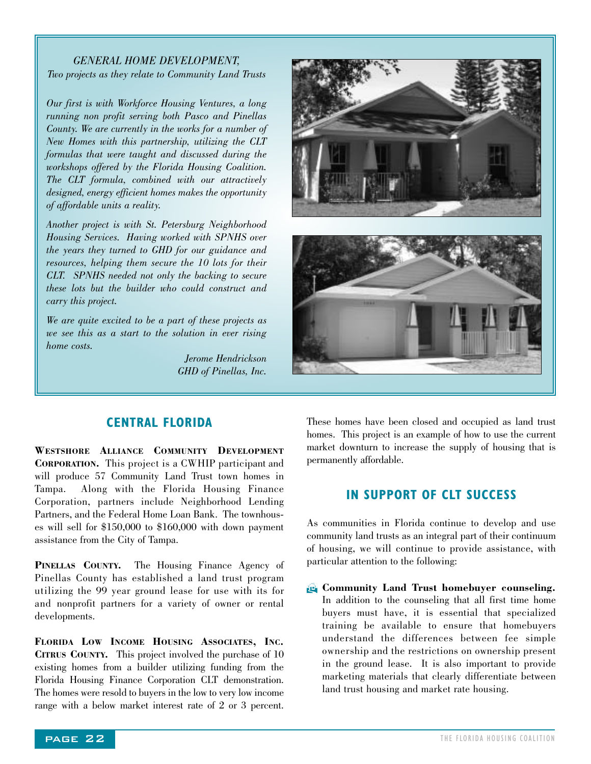#### *GENERAL HOME DEVELOPMENT, Two projects as they relate to Community Land Trusts*

*Our first is with Workforce Housing Ventures, a long running non profit serving both Pasco and Pinellas County. We are currently in the works for a number of New Homes with this partnership, utilizing the CLT formulas that were taught and discussed during the workshops offered by the Florida Housing Coalition. The CLT formula, combined with our attractively designed, energy efficient homes makes the opportunity of affordable units a reality.* 

*Another project is with St. Petersburg Neighborhood Housing Services. Having worked with SPNHS over the years they turned to GHD for our guidance and resources, helping them secure the 10 lots for their CLT. SPNHS needed not only the backing to secure these lots but the builder who could construct and carry this project.*

*We are quite excited to be a part of these projects as we see this as a start to the solution in ever rising home costs.* 

> *Jerome Hendrickson GHD of Pinellas, Inc.*



#### **CENTRAL FLORIDA**

**WESTSHORE ALLIANCE COMMUNITY DEVELOPMENT CORPORATION.** This project is a CWHIP participant and will produce 57 Community Land Trust town homes in Tampa. Along with the Florida Housing Finance Corporation, partners include Neighborhood Lending Partners, and the Federal Home Loan Bank. The townhouses will sell for \$150,000 to \$160,000 with down payment assistance from the City of Tampa.

**PINELLAS COUNTY.** The Housing Finance Agency of Pinellas County has established a land trust program utilizing the 99 year ground lease for use with its for and nonprofit partners for a variety of owner or rental developments.

**FLORIDA LOW INCOME HOUSING ASSOCIATES, INC. CITRUS COUNTY.** This project involved the purchase of 10 existing homes from a builder utilizing funding from the Florida Housing Finance Corporation CLT demonstration. The homes were resold to buyers in the low to very low income range with a below market interest rate of 2 or 3 percent.

These homes have been closed and occupied as land trust homes. This project is an example of how to use the current market downturn to increase the supply of housing that is permanently affordable.

#### **IN SUPPORT OF CLT SUCCESS**

As communities in Florida continue to develop and use community land trusts as an integral part of their continuum of housing, we will continue to provide assistance, with particular attention to the following:

H **Community Land Trust homebuyer counseling.** In addition to the counseling that all first time home buyers must have, it is essential that specialized training be available to ensure that homebuyers understand the differences between fee simple ownership and the restrictions on ownership present in the ground lease. It is also important to provide marketing materials that clearly differentiate between land trust housing and market rate housing.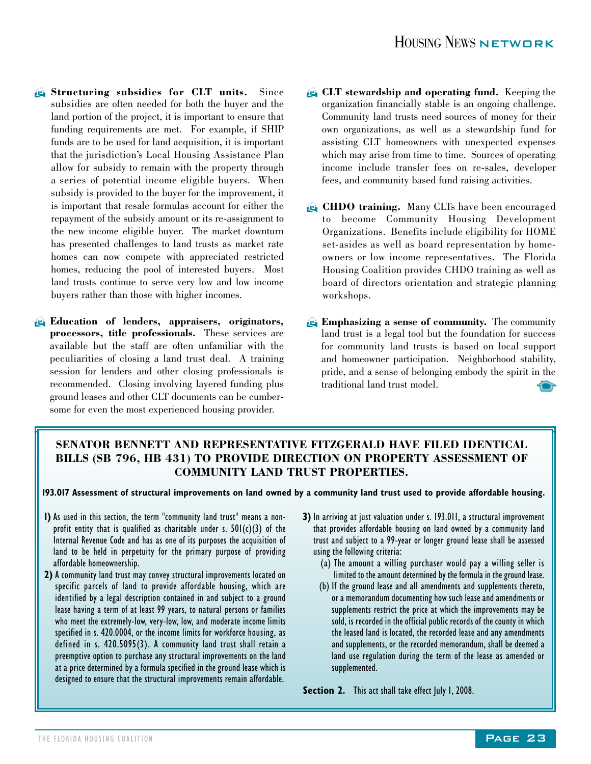- **A** Structuring subsidies for CLT units. Since subsidies are often needed for both the buyer and the land portion of the project, it is important to ensure that funding requirements are met. For example, if SHIP funds are to be used for land acquisition, it is important that the jurisdiction's Local Housing Assistance Plan allow for subsidy to remain with the property through a series of potential income eligible buyers. When subsidy is provided to the buyer for the improvement, it is important that resale formulas account for either the repayment of the subsidy amount or its re-assignment to the new income eligible buyer. The market downturn has presented challenges to land trusts as market rate homes can now compete with appreciated restricted homes, reducing the pool of interested buyers. Most land trusts continue to serve very low and low income buyers rather than those with higher incomes.
- **Education of lenders, appraisers, originators, processors, title professionals.** These services are available but the staff are often unfamiliar with the peculiarities of closing a land trust deal. A training session for lenders and other closing professionals is recommended. Closing involving layered funding plus ground leases and other CLT documents can be cumbersome for even the most experienced housing provider.
- **E.** CLT stewardship and operating fund. Keeping the organization financially stable is an ongoing challenge. Community land trusts need sources of money for their own organizations, as well as a stewardship fund for assisting CLT homeowners with unexpected expenses which may arise from time to time. Sources of operating income include transfer fees on re-sales, developer fees, and community based fund raising activities.
- **CHDO training.** Many CLTs have been encouraged to become Community Housing Development Organizations. Benefits include eligibility for HOME set-asides as well as board representation by homeowners or low income representatives. The Florida Housing Coalition provides CHDO training as well as board of directors orientation and strategic planning workshops.
- **Emphasizing a sense of community.** The community land trust is a legal tool but the foundation for success for community land trusts is based on local support and homeowner participation. Neighborhood stability, pride, and a sense of belonging embody the spirit in the traditional land trust model.

#### **SENATOR BENNETT AND REPRESENTATIVE FITZGERALD HAVE FILED IDENTICAL BILLS (SB 796, HB 431) TO PROVIDE DIRECTION ON PROPERTY ASSESSMENT OF COMMUNITY LAND TRUST PROPERTIES.**

**193.017 Assessment of structural improvements on land owned by a community land trust used to provide affordable housing.**

- **1)** As used in this section, the term "community land trust" means a nonprofit entity that is qualified as charitable under s.  $501(c)(3)$  of the Internal Revenue Code and has as one of its purposes the acquisition of land to be held in perpetuity for the primary purpose of providing affordable homeownership.
- **2)** A community land trust may convey structural improvements located on specific parcels of land to provide affordable housing, which are identified by a legal description contained in and subject to a ground lease having a term of at least 99 years, to natural persons or families who meet the extremely-low, very-low, low, and moderate income limits specified in s. 420.0004, or the income limits for workforce housing, as defined in s. 420.5095(3). A community land trust shall retain a preemptive option to purchase any structural improvements on the land at a price determined by a formula specified in the ground lease which is designed to ensure that the structural improvements remain affordable.
- **3)** In arriving at just valuation under s. 193.011, a structural improvement that provides affordable housing on land owned by a community land trust and subject to a 99-year or longer ground lease shall be assessed using the following criteria:
	- (a) The amount a willing purchaser would pay a willing seller is limited to the amount determined by the formula in the ground lease.
	- (b) If the ground lease and all amendments and supplements thereto, or a memorandum documenting how such lease and amendments or supplements restrict the price at which the improvements may be sold, is recorded in the official public records of the county in which the leased land is located, the recorded lease and any amendments and supplements, or the recorded memorandum, shall be deemed a land use regulation during the term of the lease as amended or supplemented.

Section 2. This act shall take effect July 1, 2008.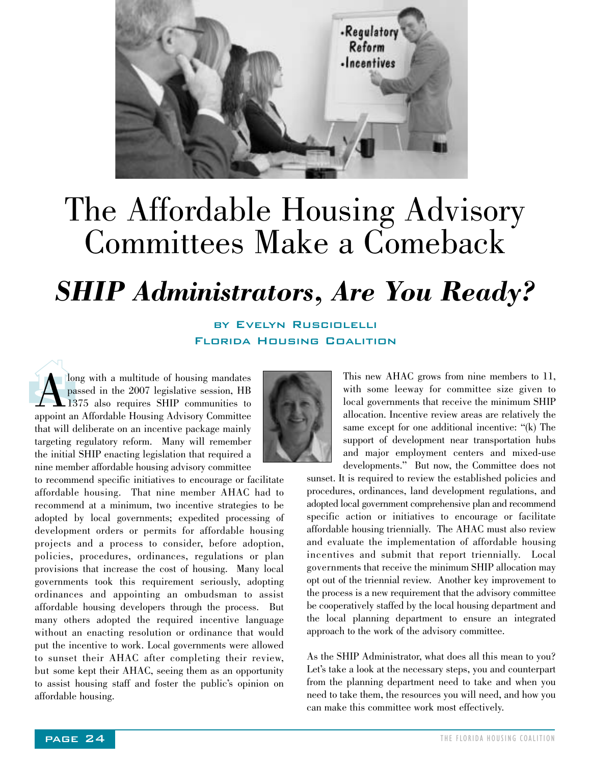

### The Affordable Housing Advisory Committees Make a Comeback

### *SHIP Administrators, Are You Ready?*

by Evelyn Rusciolelli Florida Housing Coalition

long with a multitude of housing mandates<br>passed in the 2007 legislative session, HB<br>1375 also requires SHIP communities to<br>appoint an Affordable Housing Advisory Committee passed in the 2007 legislative session, HB 1375 also requires SHIP communities to appoint an Affordable Housing Advisory Committee that will deliberate on an incentive package mainly targeting regulatory reform. Many will remember the initial SHIP enacting legislation that required a nine member affordable housing advisory committee

to recommend specific initiatives to encourage or facilitate affordable housing. That nine member AHAC had to recommend at a minimum, two incentive strategies to be adopted by local governments; expedited processing of development orders or permits for affordable housing projects and a process to consider, before adoption, policies, procedures, ordinances, regulations or plan provisions that increase the cost of housing. Many local governments took this requirement seriously, adopting ordinances and appointing an ombudsman to assist affordable housing developers through the process. But many others adopted the required incentive language without an enacting resolution or ordinance that would put the incentive to work. Local governments were allowed to sunset their AHAC after completing their review, but some kept their AHAC, seeing them as an opportunity to assist housing staff and foster the public's opinion on affordable housing.



This new AHAC grows from nine members to 11, with some leeway for committee size given to local governments that receive the minimum SHIP allocation. Incentive review areas are relatively the same except for one additional incentive: "(k) The support of development near transportation hubs and major employment centers and mixed-use developments." But now, the Committee does not

sunset. It is required to review the established policies and procedures, ordinances, land development regulations, and adopted local government comprehensive plan and recommend specific action or initiatives to encourage or facilitate affordable housing triennially. The AHAC must also review and evaluate the implementation of affordable housing incentives and submit that report triennially. Local governments that receive the minimum SHIP allocation may opt out of the triennial review. Another key improvement to the process is a new requirement that the advisory committee be cooperatively staffed by the local housing department and the local planning department to ensure an integrated approach to the work of the advisory committee.

As the SHIP Administrator, what does all this mean to you? Let's take a look at the necessary steps, you and counterpart from the planning department need to take and when you need to take them, the resources you will need, and how you can make this committee work most effectively.

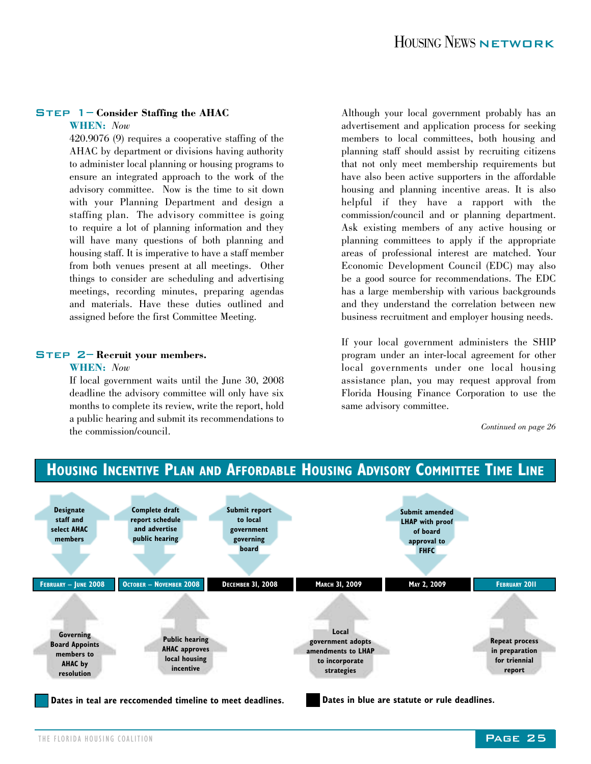#### Step 1– **Consider Staffing the AHAC**

#### **WHEN:** *Now*

420.9076 (9) requires a cooperative staffing of the AHAC by department or divisions having authority to administer local planning or housing programs to ensure an integrated approach to the work of the advisory committee. Now is the time to sit down with your Planning Department and design a staffing plan. The advisory committee is going to require a lot of planning information and they will have many questions of both planning and housing staff. It is imperative to have a staff member from both venues present at all meetings. Other things to consider are scheduling and advertising meetings, recording minutes, preparing agendas and materials. Have these duties outlined and assigned before the first Committee Meeting.

#### Step 2– **Recruit your members.**

#### **WHEN:** *Now*

If local government waits until the June 30, 2008 deadline the advisory committee will only have six months to complete its review, write the report, hold a public hearing and submit its recommendations to the commission/council.

Although your local government probably has an advertisement and application process for seeking members to local committees, both housing and planning staff should assist by recruiting citizens that not only meet membership requirements but have also been active supporters in the affordable housing and planning incentive areas. It is also helpful if they have a rapport with the commission/council and or planning department. Ask existing members of any active housing or planning committees to apply if the appropriate areas of professional interest are matched. Your Economic Development Council (EDC) may also be a good source for recommendations. The EDC has a large membership with various backgrounds and they understand the correlation between new business recruitment and employer housing needs.

If your local government administers the SHIP program under an inter-local agreement for other local governments under one local housing assistance plan, you may request approval from Florida Housing Finance Corporation to use the same advisory committee.

*Continued on page 26*



**HOUSING INCENTIVE PLAN AND AFFORDABLE HOUSING ADVISORY COMMITTEE TIME LINE**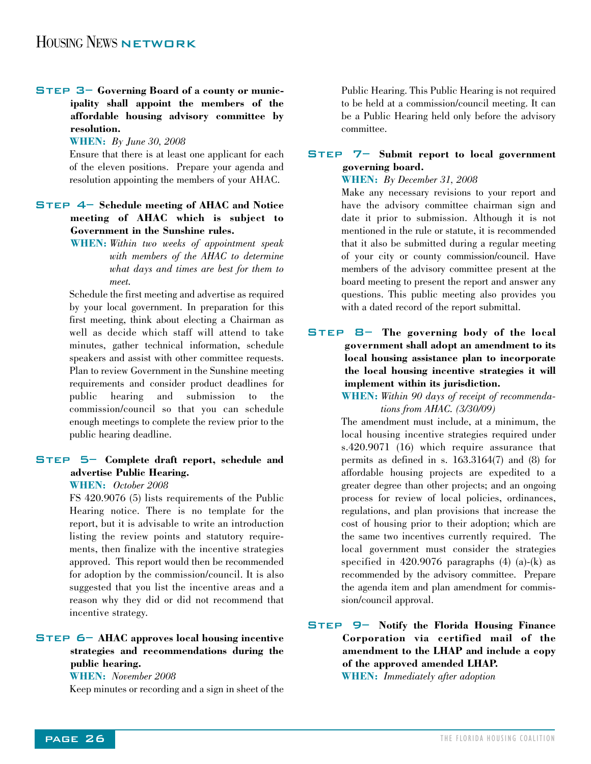#### Step 3– **Governing Board of a county or municipality shall appoint the members of the affordable housing advisory committee by resolution.**

**WHEN:** *By June 30, 2008*

Ensure that there is at least one applicant for each of the eleven positions. Prepare your agenda and resolution appointing the members of your AHAC.

#### Step 4– **Schedule meeting of AHAC and Notice meeting of AHAC which is subject to Government in the Sunshine rules.**

**WHEN:** *Within two weeks of appointment speak with members of the AHAC to determine what days and times are best for them to meet.* 

Schedule the first meeting and advertise as required by your local government. In preparation for this first meeting, think about electing a Chairman as well as decide which staff will attend to take minutes, gather technical information, schedule speakers and assist with other committee requests. Plan to review Government in the Sunshine meeting requirements and consider product deadlines for public hearing and submission to the commission/council so that you can schedule enough meetings to complete the review prior to the public hearing deadline.

#### Step 5– **Complete draft report, schedule and advertise Public Hearing.**

#### **WHEN:** *October 2008*

FS 420.9076 (5) lists requirements of the Public Hearing notice. There is no template for the report, but it is advisable to write an introduction listing the review points and statutory requirements, then finalize with the incentive strategies approved. This report would then be recommended for adoption by the commission/council. It is also suggested that you list the incentive areas and a reason why they did or did not recommend that incentive strategy.

#### Step 6– **AHAC approves local housing incentive strategies and recommendations during the public hearing.**

#### **WHEN:** *November 2008*

Keep minutes or recording and a sign in sheet of the

Public Hearing. This Public Hearing is not required to be held at a commission/council meeting. It can be a Public Hearing held only before the advisory committee.

#### Step 7– **Submit report to local government governing board.**

#### **WHEN:** *By December 31, 2008*

Make any necessary revisions to your report and have the advisory committee chairman sign and date it prior to submission. Although it is not mentioned in the rule or statute, it is recommended that it also be submitted during a regular meeting of your city or county commission/council. Have members of the advisory committee present at the board meeting to present the report and answer any questions. This public meeting also provides you with a dated record of the report submittal.

Step 8– **The governing body of the local government shall adopt an amendment to its local housing assistance plan to incorporate the local housing incentive strategies it will implement within its jurisdiction.**

#### **WHEN:** *Within 90 days of receipt of recommendations from AHAC. (3/30/09)*

The amendment must include, at a minimum, the local housing incentive strategies required under s.420.9071 (16) which require assurance that permits as defined in s. 163.3164(7) and (8) for affordable housing projects are expedited to a greater degree than other projects; and an ongoing process for review of local policies, ordinances, regulations, and plan provisions that increase the cost of housing prior to their adoption; which are the same two incentives currently required. The local government must consider the strategies specified in  $420.9076$  paragraphs  $(4)$   $(a)-(k)$  as recommended by the advisory committee. Prepare the agenda item and plan amendment for commission/council approval.

#### Step 9– **Notify the Florida Housing Finance Corporation via certified mail of the amendment to the LHAP and include a copy of the approved amended LHAP. WHEN:** *Immediately after adoption*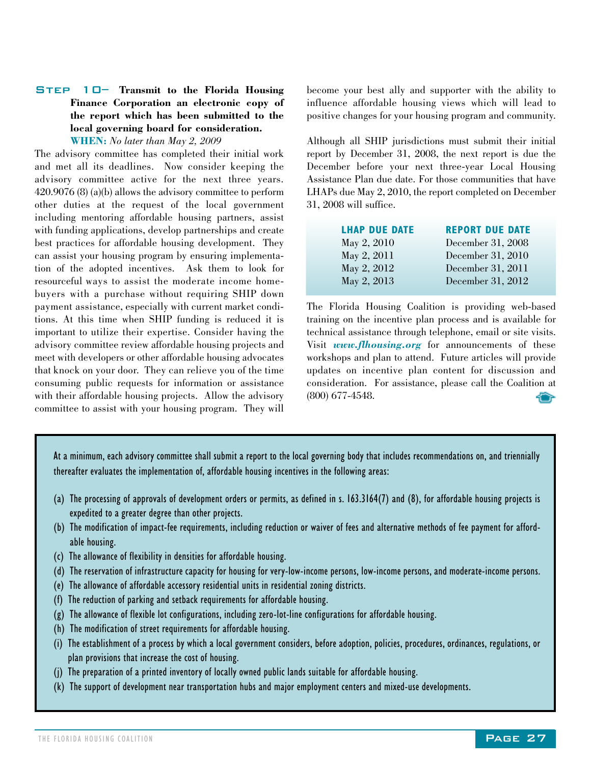#### Step 10– **Transmit to the Florida Housing Finance Corporation an electronic copy of the report which has been submitted to the local governing board for consideration.**

**WHEN:** *No later than May 2, 2009*

The advisory committee has completed their initial work and met all its deadlines. Now consider keeping the advisory committee active for the next three years. 420.9076 (8) (a)(b) allows the advisory committee to perform other duties at the request of the local government including mentoring affordable housing partners, assist with funding applications, develop partnerships and create best practices for affordable housing development. They can assist your housing program by ensuring implementation of the adopted incentives. Ask them to look for resourceful ways to assist the moderate income homebuyers with a purchase without requiring SHIP down payment assistance, especially with current market conditions. At this time when SHIP funding is reduced it is important to utilize their expertise. Consider having the advisory committee review affordable housing projects and meet with developers or other affordable housing advocates that knock on your door. They can relieve you of the time consuming public requests for information or assistance with their affordable housing projects. Allow the advisory committee to assist with your housing program. They will

become your best ally and supporter with the ability to influence affordable housing views which will lead to positive changes for your housing program and community.

Although all SHIP jurisdictions must submit their initial report by December 31, 2008, the next report is due the December before your next three-year Local Housing Assistance Plan due date. For those communities that have LHAPs due May 2, 2010, the report completed on December 31, 2008 will suffice.

| <b>LHAP DUE DATE</b> | <b>REPORT DUE DATE</b> |
|----------------------|------------------------|
| May 2, 2010          | December 31, 2008      |
| May 2, 2011          | December 31, 2010      |
| May 2, 2012          | December 31, 2011      |
| May 2, 2013          | December 31, 2012      |

The Florida Housing Coalition is providing web-based training on the incentive plan process and is available for technical assistance through telephone, email or site visits. Visit *www.flhousing.org* for announcements of these workshops and plan to attend. Future articles will provide updates on incentive plan content for discussion and consideration. For assistance, please call the Coalition at (800) 677-4548.

At a minimum, each advisory committee shall submit a report to the local governing body that includes recommendations on, and triennially thereafter evaluates the implementation of, affordable housing incentives in the following areas:

- (a) The processing of approvals of development orders or permits, as defined in s. 163.3164(7) and (8), for affordable housing projects is expedited to a greater degree than other projects.
- (b) The modification of impact-fee requirements, including reduction or waiver of fees and alternative methods of fee payment for affordable housing.
- (c) The allowance of flexibility in densities for affordable housing.
- (d) The reservation of infrastructure capacity for housing for very-low-income persons, low-income persons, and moderate-income persons.
- (e) The allowance of affordable accessory residential units in residential zoning districts.
- (f) The reduction of parking and setback requirements for affordable housing.
- (g) The allowance of flexible lot configurations, including zero-lot-line configurations for affordable housing.
- (h) The modification of street requirements for affordable housing.
- (i) The establishment of a process by which a local government considers, before adoption, policies, procedures, ordinances, regulations, or plan provisions that increase the cost of housing.
- (j) The preparation of a printed inventory of locally owned public lands suitable for affordable housing.
- (k) The support of development near transportation hubs and major employment centers and mixed-use developments.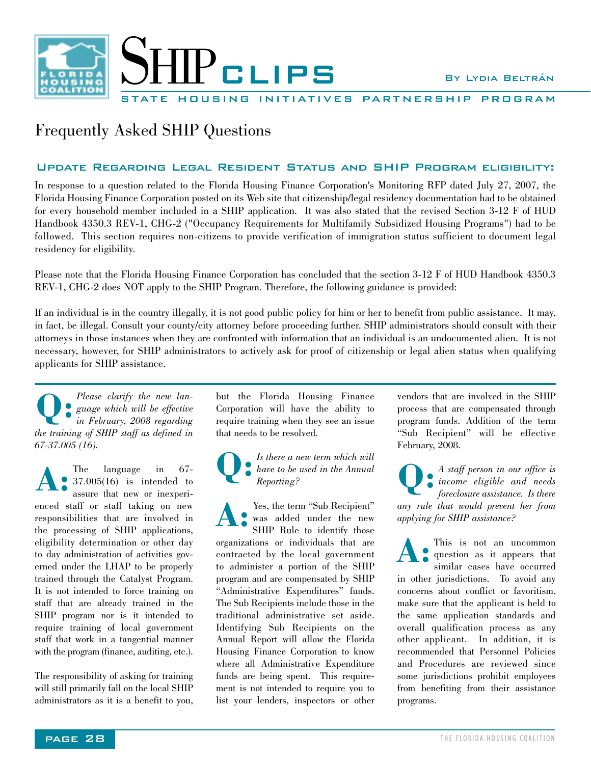

PARTNERSHIP PROGRAM

#### Frequently Asked SHIP Questions

#### Update Regarding Legal Resident Status and SHIP Program eligibility:

In response to a question related to the Florida Housing Finance Corporation's Monitoring RFP dated July 27, 2007, the Florida Housing Finance Corporation posted on its Web site that citizenship/legal residency documentation had to be obtained for every household member included in a SHIP application. It was also stated that the revised Section 3-12 F of HUD Handbook 4350.3 REV-1, CHG-2 ("Occupancy Requirements for Multifamily Subsidized Housing Programs") had to be followed. This section requires non-citizens to provide verification of immigration status sufficient to document legal residency for eligibility.

Please note that the Florida Housing Finance Corporation has concluded that the section 3-12 F of HUD Handbook 4350.3 REV-1, CHG-2 does NOT apply to the SHIP Program. Therefore, the following guidance is provided:

If an individual is in the country illegally, it is not good public policy for him or her to benefit from public assistance. It may, in fact, be illegal. Consult your county/city attorney before proceeding further. SHIP administrators should consult with their attorneys in those instances when they are confronted with information that an individual is an undocumented alien. It is not necessary, however, for SHIP administrators to actively ask for proof of citizenship or legal alien status when qualifying applicants for SHIP assistance.

*Please clarify the new language which will be effective in February, 2008 regarding the training of SHIP staff as defined in 67-37.005 (16).*  **Q:**

The language in 67- The language in 67-<br>37.005(16) is intended to assure that new or inexperienced staff or staff taking on new responsibilities that are involved in the processing of SHIP applications, eligibility determination or other day to day administration of activities governed under the LHAP to be properly trained through the Catalyst Program. It is not intended to force training on staff that are already trained in the SHIP program nor is it intended to require training of local government staff that work in a tangential manner with the program (finance, auditing, etc.).

The responsibility of asking for training will still primarily fall on the local SHIP administrators as it is a benefit to you,

but the Florida Housing Finance Corporation will have the ability to require training when they see an issue that needs to be resolved.

*Is there a new term which will have to be used in the Annual Reporting?*  **Q:**

Yes, the term "Sub Recipient" was added under the new SHIP Rule to identify those organizations or individuals that are contracted by the local government to administer a portion of the SHIP program and are compensated by SHIP "Administrative Expenditures" funds. The Sub Recipients include those in the traditional administrative set aside. Identifying Sub Recipients on the Annual Report will allow the Florida Housing Finance Corporation to know where all Administrative Expenditure funds are being spent. This requirement is not intended to require you to list your lenders, inspectors or other **A:**

vendors that are involved in the SHIP process that are compensated through program funds. Addition of the term "Sub Recipient" will be effective February, 2008.

*A staff person in our office is income eligible and needs* **Q:** *foreclosure assistance. Is there any rule that would prevent her from applying for SHIP assistance?*

This is not an uncommon question as it appears that similar cases have occurred in other jurisdictions. To avoid any concerns about conflict or favoritism, make sure that the applicant is held to the same application standards and overall qualification process as any other applicant. In addition, it is recommended that Personnel Policies and Procedures are reviewed since some jurisdictions prohibit employees from benefiting from their assistance programs. **A:**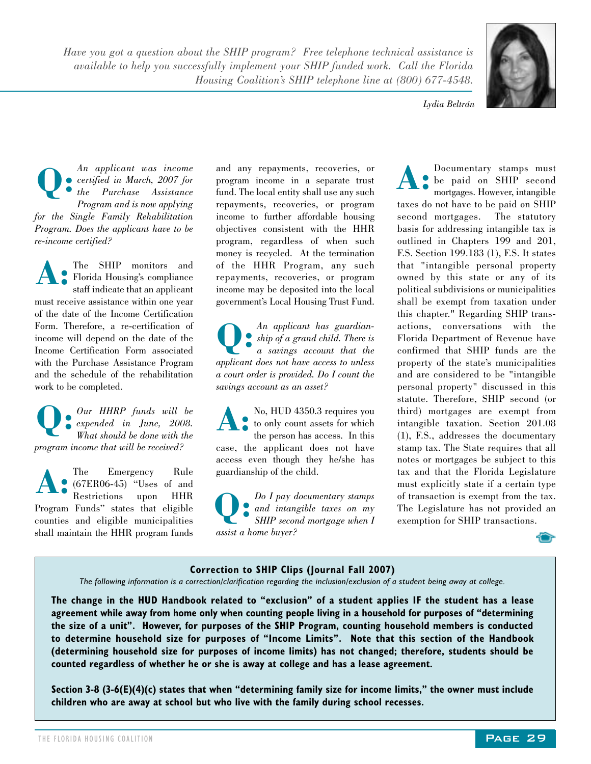*Have you got a question about the SHIP program? Free telephone technical assistance is available to help you successfully implement your SHIP funded work. Call the Florida Housing Coalition's SHIP telephone line at (800) 677-4548.*



*Lydia Beltrán*

*An applicant was income certified in March, 2007 for the Purchase Assistance Program and is now applying for the Single Family Rehabilitation Program. Does the applicant have to be re-income certified?* **Q:**

The SHIP monitors and The SHIP monitors and<br>
Florida Housing's compliance staff indicate that an applicant must receive assistance within one year of the date of the Income Certification Form. Therefore, a re-certification of income will depend on the date of the Income Certification Form associated with the Purchase Assistance Program and the schedule of the rehabilitation work to be completed.

*Our HHRP funds will be expended in June, 2008.* **Q:** *What should be done with the program income that will be received?*

The Emergency Rule (67ER06-45) "Uses of and Restrictions upon HHR Program Funds" states that eligible counties and eligible municipalities shall maintain the HHR program funds **A:**

and any repayments, recoveries, or program income in a separate trust fund. The local entity shall use any such repayments, recoveries, or program income to further affordable housing objectives consistent with the HHR program, regardless of when such money is recycled. At the termination of the HHR Program, any such repayments, recoveries, or program income may be deposited into the local government's Local Housing Trust Fund.

*An applicant has guardianship of a grand child. There is a savings account that the applicant does not have access to unless a court order is provided. Do I count the savings account as an asset?*  **Q:**

No, HUD 4350.3 requires you to only count assets for which the person has access. In this case, the applicant does not have access even though they he/she has guardianship of the child. **A:**

*Do I pay documentary stamps and intangible taxes on my SHIP second mortgage when I assist a home buyer?* **Q:**

Documentary stamps must be paid on SHIP second mortgages. However, intangible taxes do not have to be paid on SHIP second mortgages. The statutory basis for addressing intangible tax is outlined in Chapters 199 and 201, F.S. Section 199.183 (1), F.S. It states that "intangible personal property owned by this state or any of its political subdivisions or municipalities shall be exempt from taxation under this chapter." Regarding SHIP transactions, conversations with the Florida Department of Revenue have confirmed that SHIP funds are the property of the state's municipalities and are considered to be "intangible personal property" discussed in this statute. Therefore, SHIP second (or third) mortgages are exempt from intangible taxation. Section 201.08 (1), F.S., addresses the documentary stamp tax. The State requires that all notes or mortgages be subject to this tax and that the Florida Legislature must explicitly state if a certain type of transaction is exempt from the tax. The Legislature has not provided an exemption for SHIP transactions. **A:**



#### **Correction to SHIP Clips (Journal Fall 2007)**

*The following information is a correction/clarification regarding the inclusion/exclusion of a student being away at college.* 

**The change in the HUD Handbook related to "exclusion" of a student applies IF the student has a lease agreement while away from home only when counting people living in a household for purposes of "determining the size of a unit". However, for purposes of the SHIP Program, counting household members is conducted to determine household size for purposes of "Income Limits". Note that this section of the Handbook (determining household size for purposes of income limits) has not changed; therefore, students should be counted regardless of whether he or she is away at college and has a lease agreement.** 

**Section 3-8 (3-6(E)(4)(c) states that when "determining family size for income limits," the owner must include children who are away at school but who live with the family during school recesses.**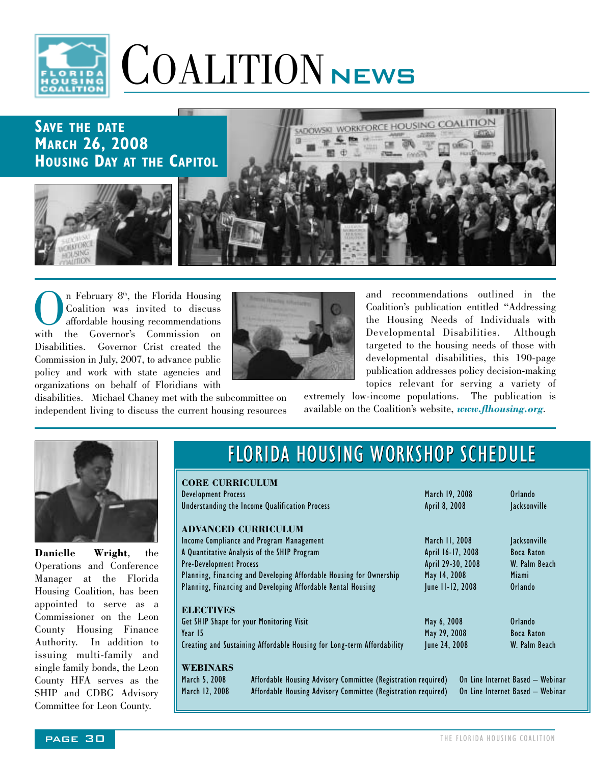

# COALITION NEWS

#### **SAVE THE DATE MARCH 26, 2008 HOUSING DAY AT THE CAPITOL**







and recommendations outlined in the Coalition's publication entitled "Addressing the Housing Needs of Individuals with Developmental Disabilities. Although targeted to the housing needs of those with developmental disabilities, this 190-page publication addresses policy decision-making topics relevant for serving a variety of

disabilities. Michael Chaney met with the subcommittee on independent living to discuss the current housing resources extremely low-income populations. The publication is available on the Coalition's website, *www.flhousing.org*.



**Danielle Wright**, the Operations and Conference Manager at the Florida Housing Coalition, has been appointed to serve as a Commissioner on the Leon County Housing Finance Authority. In addition to issuing multi-family and single family bonds, the Leon County HFA serves as the SHIP and CDBG Advisory Committee for Leon County.

### FLORIDA HOUSING WORKSHOP SCHEDULE

| <b>CORE CURRICULUM</b>         |                                                                        |                   |                                  |
|--------------------------------|------------------------------------------------------------------------|-------------------|----------------------------------|
| <b>Development Process</b>     |                                                                        | March 19, 2008    | Orlando                          |
|                                | Understanding the Income Qualification Process                         | April 8, 2008     | <b>Jacksonville</b>              |
|                                | <b>ADVANCED CURRICULUM</b>                                             |                   |                                  |
|                                | Income Compliance and Program Management                               | March 11, 2008    | <b>Jacksonville</b>              |
|                                | A Quantitative Analysis of the SHIP Program                            | April 16-17, 2008 | Boca Raton                       |
| <b>Pre-Development Process</b> |                                                                        | April 29-30, 2008 | W. Palm Beach                    |
|                                | Planning, Financing and Developing Affordable Housing for Ownership    | May 14, 2008      | Miami                            |
|                                | Planning, Financing and Developing Affordable Rental Housing           | June 11-12, 2008  | Orlando                          |
| <b>ELECTIVES</b>               |                                                                        |                   |                                  |
|                                | Get SHIP Shape for your Monitoring Visit                               | May 6, 2008       | Orlando                          |
| Year 15                        |                                                                        | May 29, 2008      | Boca Raton                       |
|                                | Creating and Sustaining Affordable Housing for Long-term Affordability | June 24, 2008     | W. Palm Beach                    |
| WEBINARS                       |                                                                        |                   |                                  |
| March 5, 2008                  | Affordable Housing Advisory Committee (Registration required)          |                   | On Line Internet Based - Webinar |
| March 12, 2008                 | Affordable Housing Advisory Committee (Registration required)          |                   | On Line Internet Based - Webinar |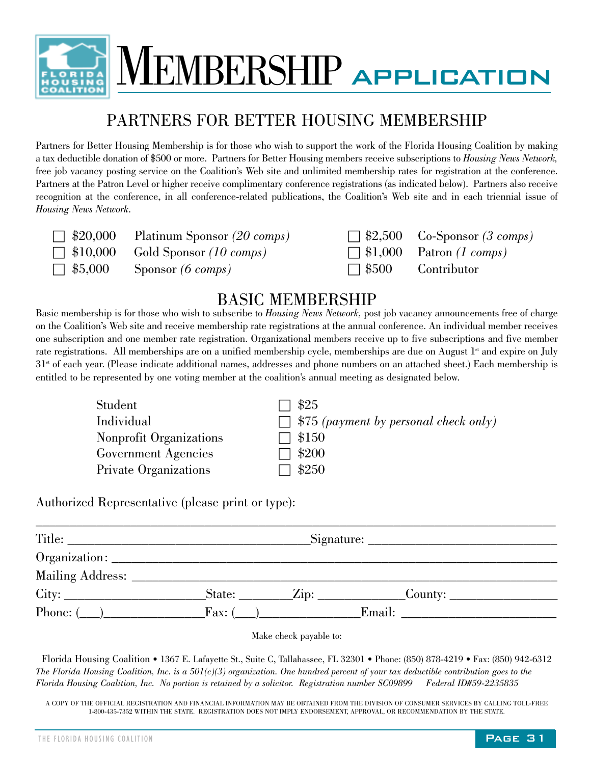

MEMBERSHIP application

#### PARTNERS FOR BETTER HOUSING MEMBERSHIP

Partners for Better Housing Membership is for those who wish to support the work of the Florida Housing Coalition by making a tax deductible donation of \$500 or more. Partners for Better Housing members receive subscriptions to *Housing News Network,* free job vacancy posting service on the Coalition's Web site and unlimited membership rates for registration at the conference. Partners at the Patron Level or higher receive complimentary conference registrations (as indicated below). Partners also receive recognition at the conference, in all conference-related publications, the Coalition's Web site and in each triennial issue of *Housing News Network*.

| $\Box$ \$20,000 Platinum Sponsor (20 comps) | $\Box$ \$2 |
|---------------------------------------------|------------|
| $\Box$ \$10,000 Gold Sponsor (10 comps)     | $\Box$ \$1 |
| $\Box$ \$5,000 Sponsor (6 comps)            | $\Box$ \$5 |

c \$20,000 Platinum Sponsor *(20 comps)* c \$2,500 Co-Sponsor *(3 comps)* **c**  $(1,000 \text{ Patron } (1 \text{ comes}))$ c \$5,000 Sponsor *(6 comps)* c \$500 Contributor

#### BASIC MEMBERSHIP

Basic membership is for those who wish to subscribe to *Housing News Network,* post job vacancy announcements free of charge on the Coalition's Web site and receive membership rate registrations at the annual conference. An individual member receives one subscription and one member rate registration. Organizational members receive up to five subscriptions and five member rate registrations. All memberships are on a unified membership cycle, memberships are due on August  $1<sup>*</sup>$  and expire on July  $31<sup>st</sup>$  of each year. (Please indicate additional names, addresses and phone numbers on an attached sheet.) Each membership is entitled to be represented by one voting member at the coalition's annual meeting as designated below.

| Student                 | \$25                                         |
|-------------------------|----------------------------------------------|
| Individual              | $\Box$ \$75 (payment by personal check only) |
| Nonprofit Organizations | \$150                                        |
| Government Agencies     | \$200                                        |
| Private Organizations   | $1 \$250$                                    |
|                         |                                              |

Authorized Representative (please print or type):

|                 |                       | $\text{Signature:}\n\quadp{1}$                                                   |  |
|-----------------|-----------------------|----------------------------------------------------------------------------------|--|
|                 |                       |                                                                                  |  |
|                 |                       |                                                                                  |  |
|                 |                       | _State: ___________Zip: __________________County: ______________________________ |  |
| Phone: $(\_\_)$ | $\text{Fax: } (\_\_)$ | Email:                                                                           |  |

Make check payable to:

Florida Housing Coalition • 1367 E. Lafayette St., Suite C, Tallahassee, FL 32301 • Phone: (850) 878-4219 • Fax: (850) 942-6312 *The Florida Housing Coalition, Inc. is a 501(c)(3) organization. One hundred percent of your tax deductible contribution goes to the Florida Housing Coalition, Inc. No portion is retained by a solicitor. Registration number SC09899 Federal ID#59-2235835*

A COPY OF THE OFFICIAL REGISTRATION AND FINANCIAL INFORMATION MAY BE OBTAINED FROM THE DIVISION OF CONSUMER SERVICES BY CALLING TOLL-FREE 1-800-435-7352 WITHIN THE STATE. REGISTRATION DOES NOT IMPLY ENDORSEMENT, APPROVAL, OR RECOMMENDATION BY THE STATE.